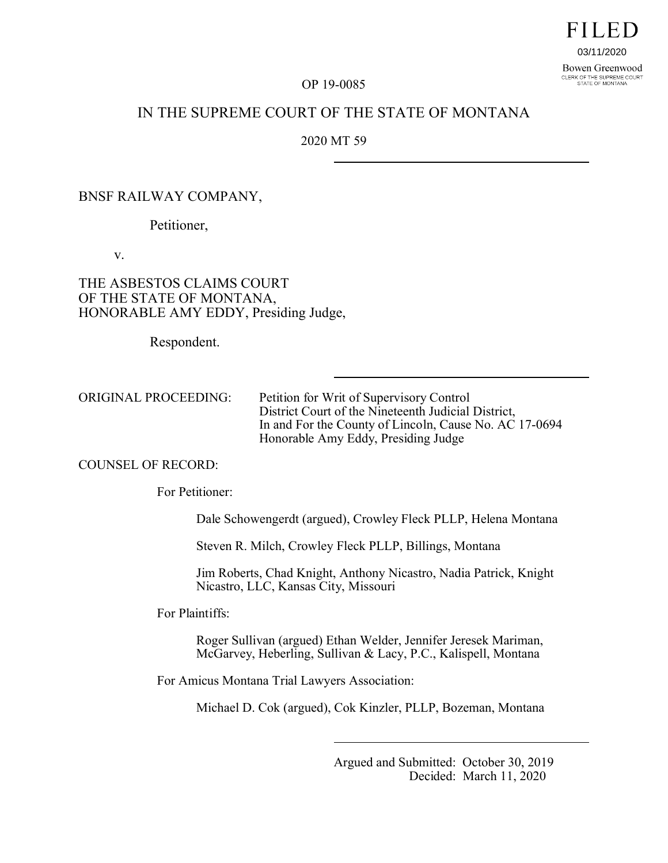03/11/2020Bowen Greenwood CLERK OF THE SUPREME COURT<br>STATE OF MONTANA

FILED

#### OP 19-0085

# IN THE SUPREME COURT OF THE STATE OF MONTANA

2020 MT 59

### BNSF RAILWAY COMPANY,

Petitioner,

v.

# THE ASBESTOS CLAIMS COURT OF THE STATE OF MONTANA, HONORABLE AMY EDDY, Presiding Judge,

Respondent.

ORIGINAL PROCEEDING: Petition for Writ of Supervisory Control District Court of the Nineteenth Judicial District, In and For the County of Lincoln, Cause No. AC 17-0694 Honorable Amy Eddy, Presiding Judge

#### COUNSEL OF RECORD:

For Petitioner:

Dale Schowengerdt (argued), Crowley Fleck PLLP, Helena Montana

Steven R. Milch, Crowley Fleck PLLP, Billings, Montana

Jim Roberts, Chad Knight, Anthony Nicastro, Nadia Patrick, Knight Nicastro, LLC, Kansas City, Missouri

For Plaintiffs:

Roger Sullivan (argued) Ethan Welder, Jennifer Jeresek Mariman, McGarvey, Heberling, Sullivan & Lacy, P.C., Kalispell, Montana

For Amicus Montana Trial Lawyers Association:

Michael D. Cok (argued), Cok Kinzler, PLLP, Bozeman, Montana

Argued and Submitted: October 30, 2019 Decided: March 11, 2020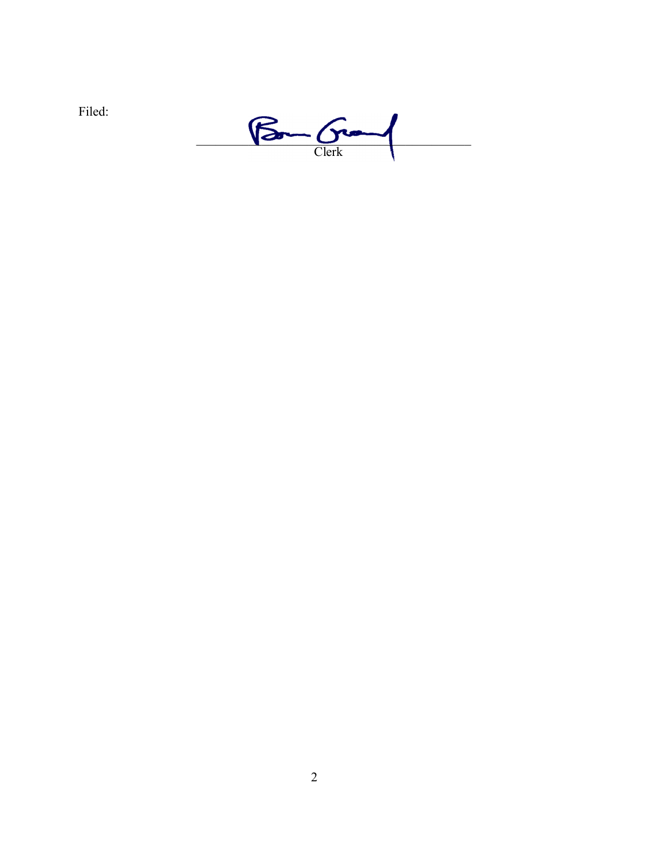

 $\underbrace{\begin{array}{c} \text{Bar} \\ \text{Clearly} \end{array}}$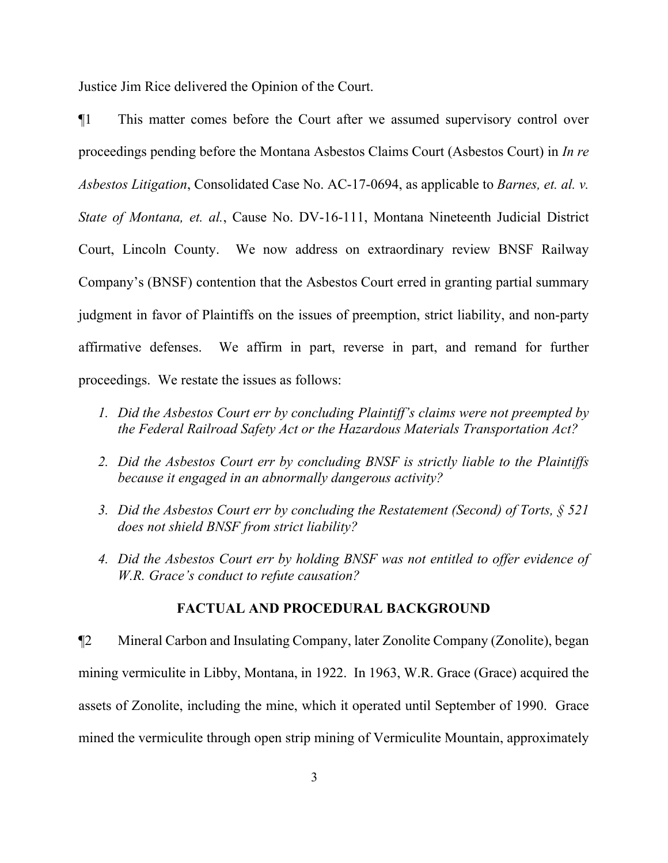Justice Jim Rice delivered the Opinion of the Court.

¶1 This matter comes before the Court after we assumed supervisory control over proceedings pending before the Montana Asbestos Claims Court (Asbestos Court) in *In re Asbestos Litigation*, Consolidated Case No. AC-17-0694, as applicable to *Barnes, et. al. v. State of Montana, et. al.*, Cause No. DV-16-111, Montana Nineteenth Judicial District Court, Lincoln County. We now address on extraordinary review BNSF Railway Company's (BNSF) contention that the Asbestos Court erred in granting partial summary judgment in favor of Plaintiffs on the issues of preemption, strict liability, and non-party affirmative defenses. We affirm in part, reverse in part, and remand for further proceedings. We restate the issues as follows:

- *1. Did the Asbestos Court err by concluding Plaintiff's claims were not preempted by the Federal Railroad Safety Act or the Hazardous Materials Transportation Act?*
- *2. Did the Asbestos Court err by concluding BNSF is strictly liable to the Plaintiffs because it engaged in an abnormally dangerous activity?*
- *3. Did the Asbestos Court err by concluding the Restatement (Second) of Torts, § 521 does not shield BNSF from strict liability?*
- *4. Did the Asbestos Court err by holding BNSF was not entitled to offer evidence of W.R. Grace's conduct to refute causation?*

## **FACTUAL AND PROCEDURAL BACKGROUND**

¶2 Mineral Carbon and Insulating Company, later Zonolite Company (Zonolite), began mining vermiculite in Libby, Montana, in 1922. In 1963, W.R. Grace (Grace) acquired the assets of Zonolite, including the mine, which it operated until September of 1990. Grace mined the vermiculite through open strip mining of Vermiculite Mountain, approximately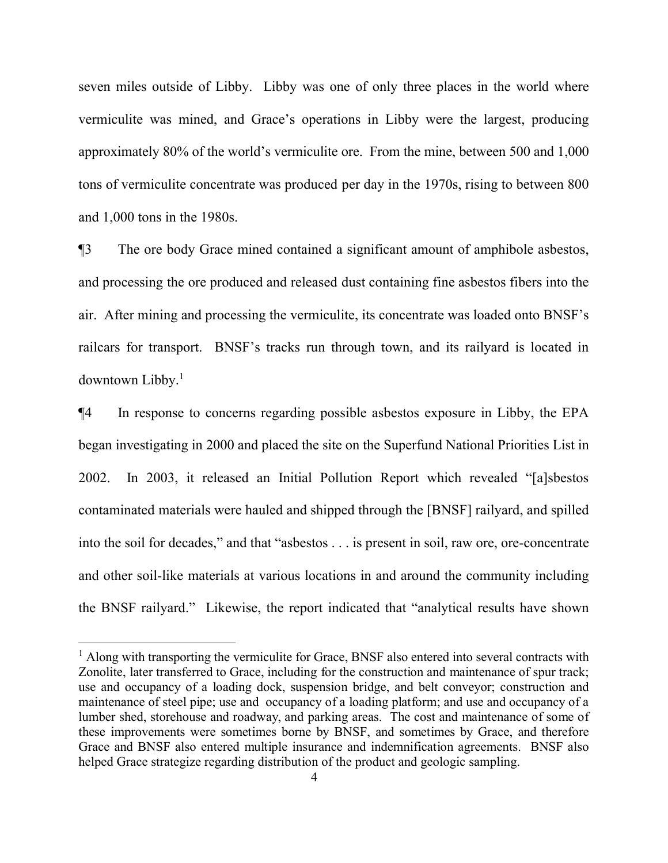seven miles outside of Libby. Libby was one of only three places in the world where vermiculite was mined, and Grace's operations in Libby were the largest, producing approximately 80% of the world's vermiculite ore. From the mine, between 500 and 1,000 tons of vermiculite concentrate was produced per day in the 1970s, rising to between 800 and 1,000 tons in the 1980s.

¶3 The ore body Grace mined contained a significant amount of amphibole asbestos, and processing the ore produced and released dust containing fine asbestos fibers into the air. After mining and processing the vermiculite, its concentrate was loaded onto BNSF's railcars for transport. BNSF's tracks run through town, and its railyard is located in downtown Libby.[1](#page-3-0)

¶4 In response to concerns regarding possible asbestos exposure in Libby, the EPA began investigating in 2000 and placed the site on the Superfund National Priorities List in 2002. In 2003, it released an Initial Pollution Report which revealed "[a]sbestos contaminated materials were hauled and shipped through the [BNSF] railyard, and spilled into the soil for decades," and that "asbestos . . . is present in soil, raw ore, ore-concentrate and other soil-like materials at various locations in and around the community including the BNSF railyard." Likewise, the report indicated that "analytical results have shown

 $\overline{a}$ 

<span id="page-3-0"></span><sup>&</sup>lt;sup>1</sup> Along with transporting the vermiculite for Grace, BNSF also entered into several contracts with Zonolite, later transferred to Grace, including for the construction and maintenance of spur track; use and occupancy of a loading dock, suspension bridge, and belt conveyor; construction and maintenance of steel pipe; use and occupancy of a loading platform; and use and occupancy of a lumber shed, storehouse and roadway, and parking areas. The cost and maintenance of some of these improvements were sometimes borne by BNSF, and sometimes by Grace, and therefore Grace and BNSF also entered multiple insurance and indemnification agreements. BNSF also helped Grace strategize regarding distribution of the product and geologic sampling.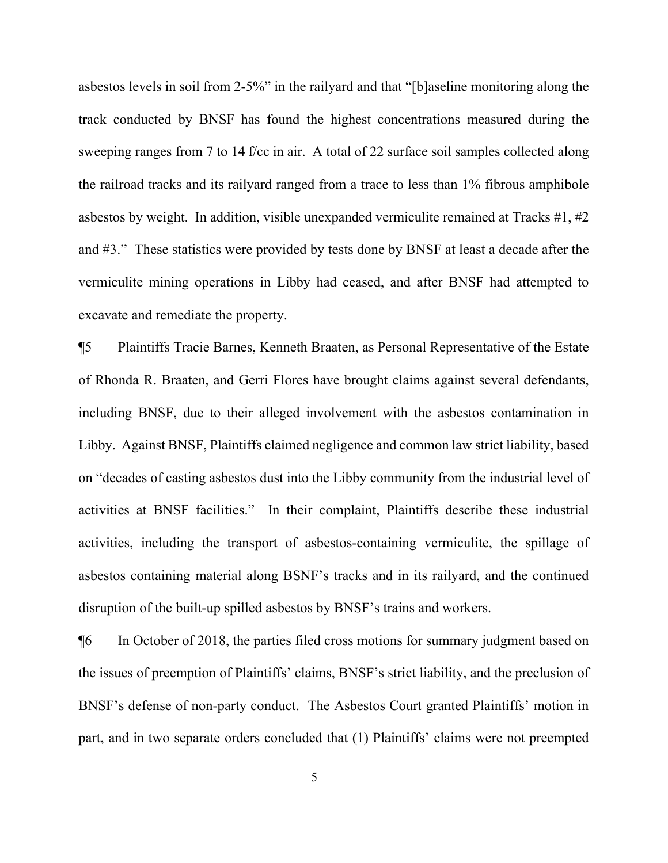asbestos levels in soil from 2-5%" in the railyard and that "[b]aseline monitoring along the track conducted by BNSF has found the highest concentrations measured during the sweeping ranges from 7 to 14 f/cc in air. A total of 22 surface soil samples collected along the railroad tracks and its railyard ranged from a trace to less than 1% fibrous amphibole asbestos by weight. In addition, visible unexpanded vermiculite remained at Tracks #1, #2 and #3." These statistics were provided by tests done by BNSF at least a decade after the vermiculite mining operations in Libby had ceased, and after BNSF had attempted to excavate and remediate the property.

¶5 Plaintiffs Tracie Barnes, Kenneth Braaten, as Personal Representative of the Estate of Rhonda R. Braaten, and Gerri Flores have brought claims against several defendants, including BNSF, due to their alleged involvement with the asbestos contamination in Libby. Against BNSF, Plaintiffs claimed negligence and common law strict liability, based on "decades of casting asbestos dust into the Libby community from the industrial level of activities at BNSF facilities." In their complaint, Plaintiffs describe these industrial activities, including the transport of asbestos-containing vermiculite, the spillage of asbestos containing material along BSNF's tracks and in its railyard, and the continued disruption of the built-up spilled asbestos by BNSF's trains and workers.

¶6 In October of 2018, the parties filed cross motions for summary judgment based on the issues of preemption of Plaintiffs' claims, BNSF's strict liability, and the preclusion of BNSF's defense of non-party conduct. The Asbestos Court granted Plaintiffs' motion in part, and in two separate orders concluded that (1) Plaintiffs' claims were not preempted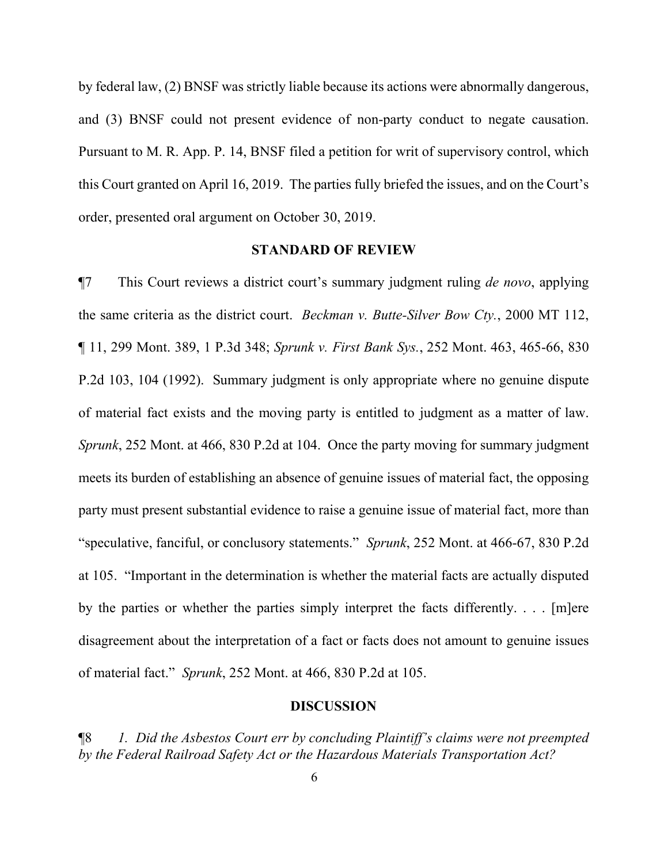by federal law, (2) BNSF was strictly liable because its actions were abnormally dangerous, and (3) BNSF could not present evidence of non-party conduct to negate causation. Pursuant to M. R. App. P. 14, BNSF filed a petition for writ of supervisory control, which this Court granted on April 16, 2019. The parties fully briefed the issues, and on the Court's order, presented oral argument on October 30, 2019.

#### **STANDARD OF REVIEW**

¶7 This Court reviews a district court's summary judgment ruling *de novo*, applying the same criteria as the district court. *Beckman v. Butte-Silver Bow Cty.*, 2000 MT 112, ¶ 11, 299 Mont. 389, 1 P.3d 348; *Sprunk v. First Bank Sys.*, 252 Mont. 463, 465-66, 830 P.2d 103, 104 (1992). Summary judgment is only appropriate where no genuine dispute of material fact exists and the moving party is entitled to judgment as a matter of law. *Sprunk*, 252 Mont. at 466, 830 P.2d at 104. Once the party moving for summary judgment meets its burden of establishing an absence of genuine issues of material fact, the opposing party must present substantial evidence to raise a genuine issue of material fact, more than "speculative, fanciful, or conclusory statements." *Sprunk*, 252 Mont. at 466-67, 830 P.2d at 105. "Important in the determination is whether the material facts are actually disputed by the parties or whether the parties simply interpret the facts differently. . . . [m]ere disagreement about the interpretation of a fact or facts does not amount to genuine issues of material fact." *Sprunk*, 252 Mont. at 466, 830 P.2d at 105.

#### **DISCUSSION**

¶8 *1. Did the Asbestos Court err by concluding Plaintiff's claims were not preempted by the Federal Railroad Safety Act or the Hazardous Materials Transportation Act?*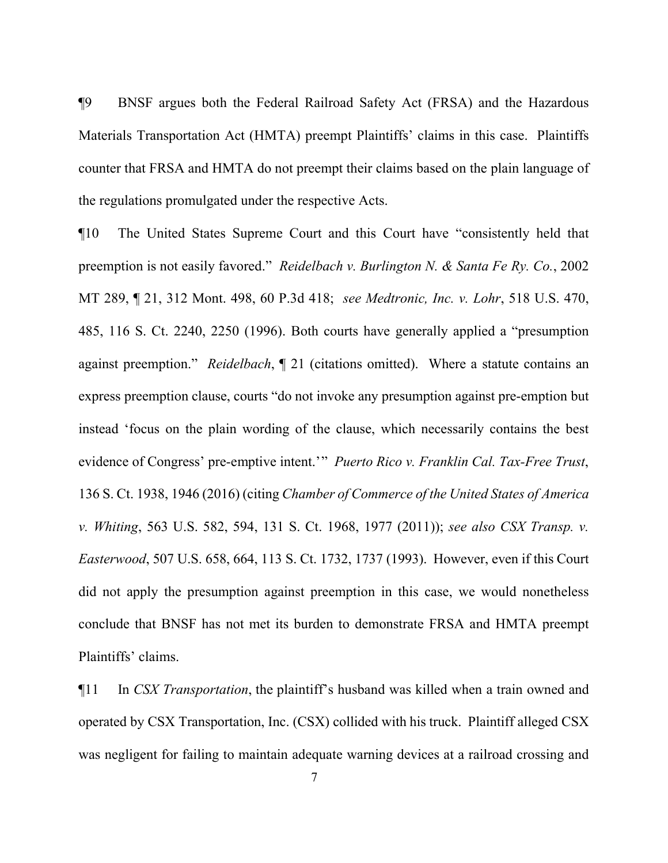¶9 BNSF argues both the Federal Railroad Safety Act (FRSA) and the Hazardous Materials Transportation Act (HMTA) preempt Plaintiffs' claims in this case. Plaintiffs counter that FRSA and HMTA do not preempt their claims based on the plain language of the regulations promulgated under the respective Acts.

¶10 The United States Supreme Court and this Court have "consistently held that preemption is not easily favored." *Reidelbach v. Burlington N. & Santa Fe Ry. Co.*, 2002 MT 289, ¶ 21, 312 Mont. 498, 60 P.3d 418; *see Medtronic, Inc. v. Lohr*, 518 U.S. 470, 485, 116 S. Ct. 2240, 2250 (1996). Both courts have generally applied a "presumption against preemption." *Reidelbach*, ¶ 21 (citations omitted). Where a statute contains an express preemption clause, courts "do not invoke any presumption against pre-emption but instead 'focus on the plain wording of the clause, which necessarily contains the best evidence of Congress' pre-emptive intent.'" *Puerto Rico v. Franklin Cal. Tax-Free Trust*, 136 S. Ct. 1938, 1946 (2016) (citing *Chamber of Commerce of the United States of America v. Whiting*, 563 U.S. 582, 594, 131 S. Ct. 1968, 1977 (2011)); *see also CSX Transp. v. Easterwood*, 507 U.S. 658, 664, 113 S. Ct. 1732, 1737 (1993). However, even if this Court did not apply the presumption against preemption in this case, we would nonetheless conclude that BNSF has not met its burden to demonstrate FRSA and HMTA preempt Plaintiffs' claims.

¶11 In *CSX Transportation*, the plaintiff's husband was killed when a train owned and operated by CSX Transportation, Inc. (CSX) collided with his truck. Plaintiff alleged CSX was negligent for failing to maintain adequate warning devices at a railroad crossing and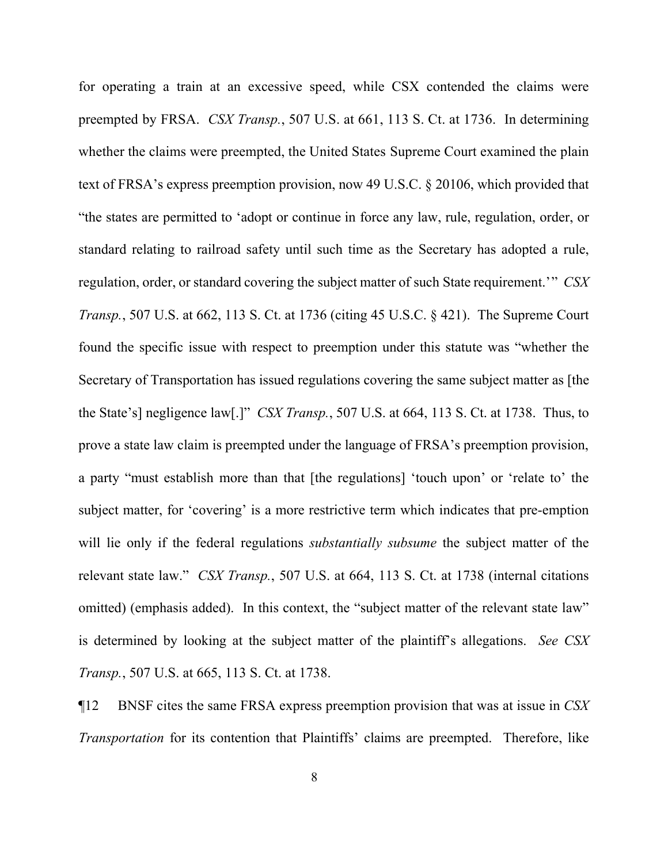for operating a train at an excessive speed, while CSX contended the claims were preempted by FRSA. *CSX Transp.*, 507 U.S. at 661, 113 S. Ct. at 1736. In determining whether the claims were preempted, the United States Supreme Court examined the plain text of FRSA's express preemption provision, now 49 U.S.C. § 20106, which provided that "the states are permitted to 'adopt or continue in force any law, rule, regulation, order, or standard relating to railroad safety until such time as the Secretary has adopted a rule, regulation, order, or standard covering the subject matter of such State requirement.'" *CSX Transp.*, 507 U.S. at 662, 113 S. Ct. at 1736 (citing 45 U.S.C. § 421). The Supreme Court found the specific issue with respect to preemption under this statute was "whether the Secretary of Transportation has issued regulations covering the same subject matter as [the the State's] negligence law[.]" *CSX Transp.*, 507 U.S. at 664, 113 S. Ct. at 1738. Thus, to prove a state law claim is preempted under the language of FRSA's preemption provision, a party "must establish more than that [the regulations] 'touch upon' or 'relate to' the subject matter, for 'covering' is a more restrictive term which indicates that pre-emption will lie only if the federal regulations *substantially subsume* the subject matter of the relevant state law." *CSX Transp.*, 507 U.S. at 664, 113 S. Ct. at 1738 (internal citations omitted) (emphasis added). In this context, the "subject matter of the relevant state law" is determined by looking at the subject matter of the plaintiff's allegations. *See CSX Transp.*, 507 U.S. at 665, 113 S. Ct. at 1738.

¶12 BNSF cites the same FRSA express preemption provision that was at issue in *CSX Transportation* for its contention that Plaintiffs' claims are preempted. Therefore, like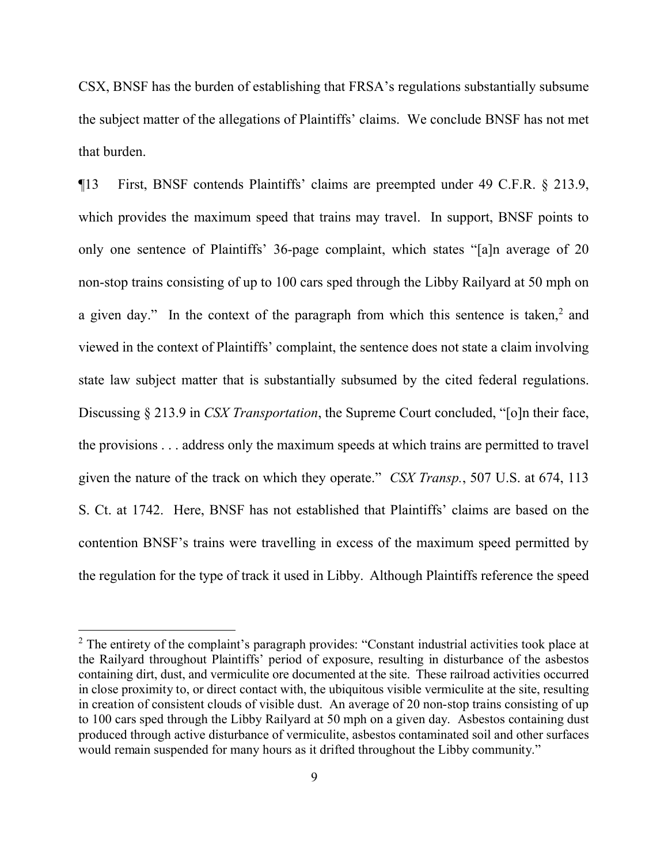CSX, BNSF has the burden of establishing that FRSA's regulations substantially subsume the subject matter of the allegations of Plaintiffs' claims. We conclude BNSF has not met that burden.

¶13 First, BNSF contends Plaintiffs' claims are preempted under 49 C.F.R. § 213.9, which provides the maximum speed that trains may travel. In support, BNSF points to only one sentence of Plaintiffs' 36-page complaint, which states "[a]n average of 20 non-stop trains consisting of up to 100 cars sped through the Libby Railyard at 50 mph on a given day." In the context of the paragraph from which this sentence is taken, $2$  and viewed in the context of Plaintiffs' complaint, the sentence does not state a claim involving state law subject matter that is substantially subsumed by the cited federal regulations. Discussing § 213.9 in *CSX Transportation*, the Supreme Court concluded, "[o]n their face, the provisions . . . address only the maximum speeds at which trains are permitted to travel given the nature of the track on which they operate." *CSX Transp.*, 507 U.S. at 674, 113 S. Ct. at 1742. Here, BNSF has not established that Plaintiffs' claims are based on the contention BNSF's trains were travelling in excess of the maximum speed permitted by the regulation for the type of track it used in Libby. Although Plaintiffs reference the speed

 $\overline{a}$ 

<span id="page-8-0"></span><sup>&</sup>lt;sup>2</sup> The entirety of the complaint's paragraph provides: "Constant industrial activities took place at the Railyard throughout Plaintiffs' period of exposure, resulting in disturbance of the asbestos containing dirt, dust, and vermiculite ore documented at the site. These railroad activities occurred in close proximity to, or direct contact with, the ubiquitous visible vermiculite at the site, resulting in creation of consistent clouds of visible dust. An average of 20 non-stop trains consisting of up to 100 cars sped through the Libby Railyard at 50 mph on a given day. Asbestos containing dust produced through active disturbance of vermiculite, asbestos contaminated soil and other surfaces would remain suspended for many hours as it drifted throughout the Libby community."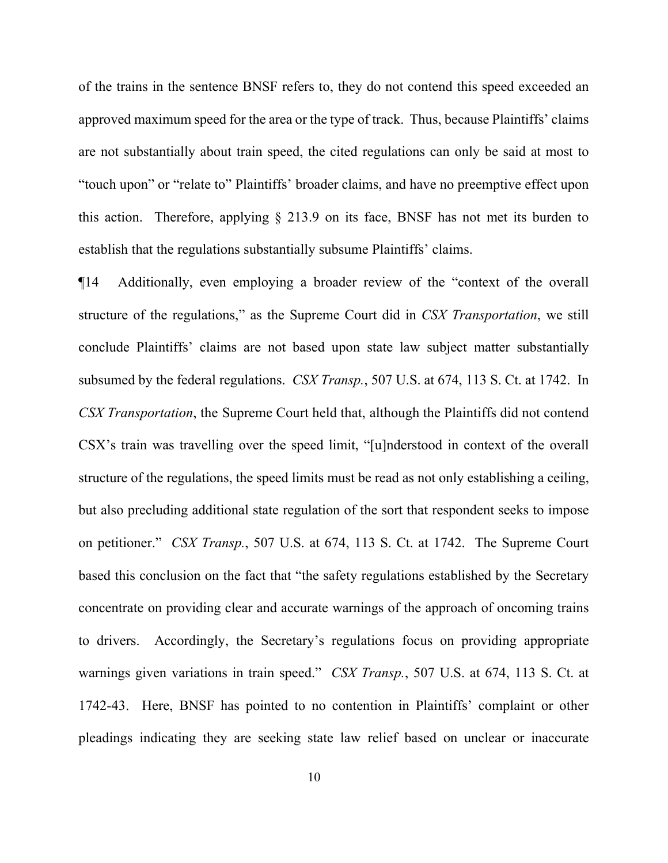of the trains in the sentence BNSF refers to, they do not contend this speed exceeded an approved maximum speed for the area or the type of track. Thus, because Plaintiffs' claims are not substantially about train speed, the cited regulations can only be said at most to "touch upon" or "relate to" Plaintiffs' broader claims, and have no preemptive effect upon this action. Therefore, applying § 213.9 on its face, BNSF has not met its burden to establish that the regulations substantially subsume Plaintiffs' claims.

¶14 Additionally, even employing a broader review of the "context of the overall structure of the regulations," as the Supreme Court did in *CSX Transportation*, we still conclude Plaintiffs' claims are not based upon state law subject matter substantially subsumed by the federal regulations. *CSX Transp.*, 507 U.S. at 674, 113 S. Ct. at 1742. In *CSX Transportation*, the Supreme Court held that, although the Plaintiffs did not contend CSX's train was travelling over the speed limit, "[u]nderstood in context of the overall structure of the regulations, the speed limits must be read as not only establishing a ceiling, but also precluding additional state regulation of the sort that respondent seeks to impose on petitioner." *CSX Transp.*, 507 U.S. at 674, 113 S. Ct. at 1742. The Supreme Court based this conclusion on the fact that "the safety regulations established by the Secretary concentrate on providing clear and accurate warnings of the approach of oncoming trains to drivers. Accordingly, the Secretary's regulations focus on providing appropriate warnings given variations in train speed." *CSX Transp.*, 507 U.S. at 674, 113 S. Ct. at 1742-43. Here, BNSF has pointed to no contention in Plaintiffs' complaint or other pleadings indicating they are seeking state law relief based on unclear or inaccurate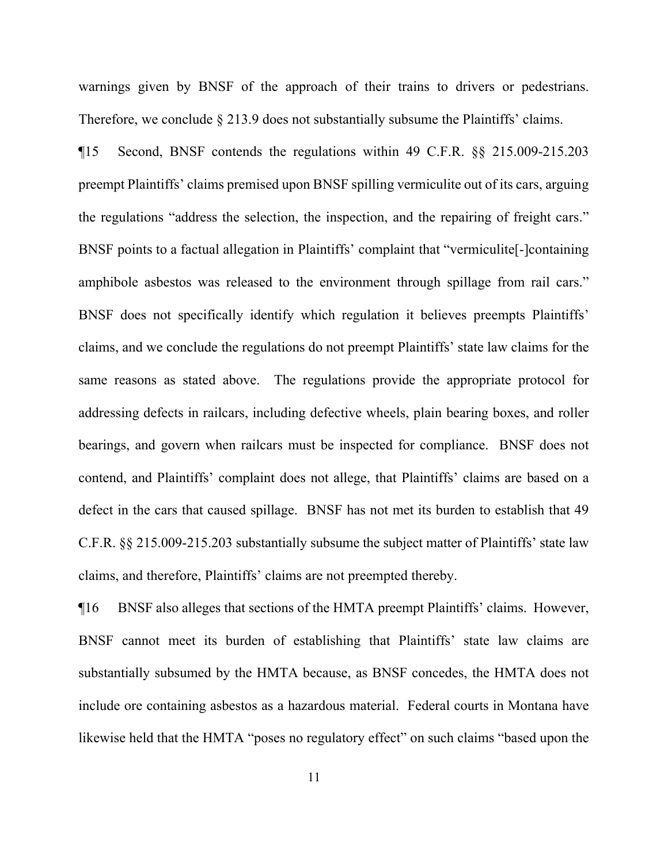warnings given by BNSF of the approach of their trains to drivers or pedestrians. Therefore, we conclude  $\S 213.9$  does not substantially subsume the Plaintiffs' claims.

¶15 Second, BNSF contends the regulations within 49 C.F.R. §§ 215.009-215.203 preempt Plaintiffs' claims premised upon BNSF spilling vermiculite out of its cars, arguing the regulations "address the selection, the inspection, and the repairing of freight cars." BNSF points to a factual allegation in Plaintiffs' complaint that "vermiculite[-]containing amphibole asbestos was released to the environment through spillage from rail cars." BNSF does not specifically identify which regulation it believes preempts Plaintiffs' claims, and we conclude the regulations do not preempt Plaintiffs' state law claims for the same reasons as stated above. The regulations provide the appropriate protocol for addressing defects in railcars, including defective wheels, plain bearing boxes, and roller bearings, and govern when railcars must be inspected for compliance. BNSF does not contend, and Plaintiffs' complaint does not allege, that Plaintiffs' claims are based on a defect in the cars that caused spillage. BNSF has not met its burden to establish that 49 C.F.R. §§ 215.009-215.203 substantially subsume the subject matter of Plaintiffs' state law claims, and therefore, Plaintiffs' claims are not preempted thereby.

¶16 BNSF also alleges that sections of the HMTA preempt Plaintiffs' claims. However, BNSF cannot meet its burden of establishing that Plaintiffs' state law claims are substantially subsumed by the HMTA because, as BNSF concedes, the HMTA does not include ore containing asbestos as a hazardous material. Federal courts in Montana have likewise held that the HMTA "poses no regulatory effect" on such claims "based upon the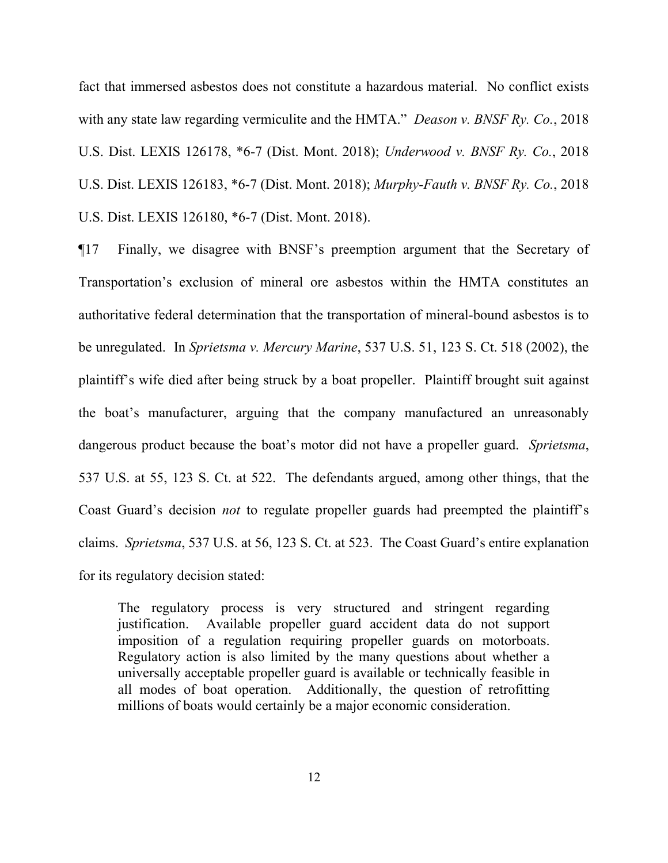fact that immersed asbestos does not constitute a hazardous material. No conflict exists with any state law regarding vermiculite and the HMTA." *Deason v. BNSF Ry. Co.*, 2018 U.S. Dist. LEXIS 126178, \*6-7 (Dist. Mont. 2018); *Underwood v. BNSF Ry. Co.*, 2018 U.S. Dist. LEXIS 126183, \*6-7 (Dist. Mont. 2018); *Murphy-Fauth v. BNSF Ry. Co.*, 2018 U.S. Dist. LEXIS 126180, \*6-7 (Dist. Mont. 2018).

¶17 Finally, we disagree with BNSF's preemption argument that the Secretary of Transportation's exclusion of mineral ore asbestos within the HMTA constitutes an authoritative federal determination that the transportation of mineral-bound asbestos is to be unregulated. In *Sprietsma v. Mercury Marine*, 537 U.S. 51, 123 S. Ct. 518 (2002), the plaintiff's wife died after being struck by a boat propeller. Plaintiff brought suit against the boat's manufacturer, arguing that the company manufactured an unreasonably dangerous product because the boat's motor did not have a propeller guard. *Sprietsma*, 537 U.S. at 55, 123 S. Ct. at 522. The defendants argued, among other things, that the Coast Guard's decision *not* to regulate propeller guards had preempted the plaintiff's claims. *Sprietsma*, 537 U.S. at 56, 123 S. Ct. at 523. The Coast Guard's entire explanation for its regulatory decision stated:

The regulatory process is very structured and stringent regarding justification. Available propeller guard accident data do not support imposition of a regulation requiring propeller guards on motorboats. Regulatory action is also limited by the many questions about whether a universally acceptable propeller guard is available or technically feasible in all modes of boat operation. Additionally, the question of retrofitting millions of boats would certainly be a major economic consideration.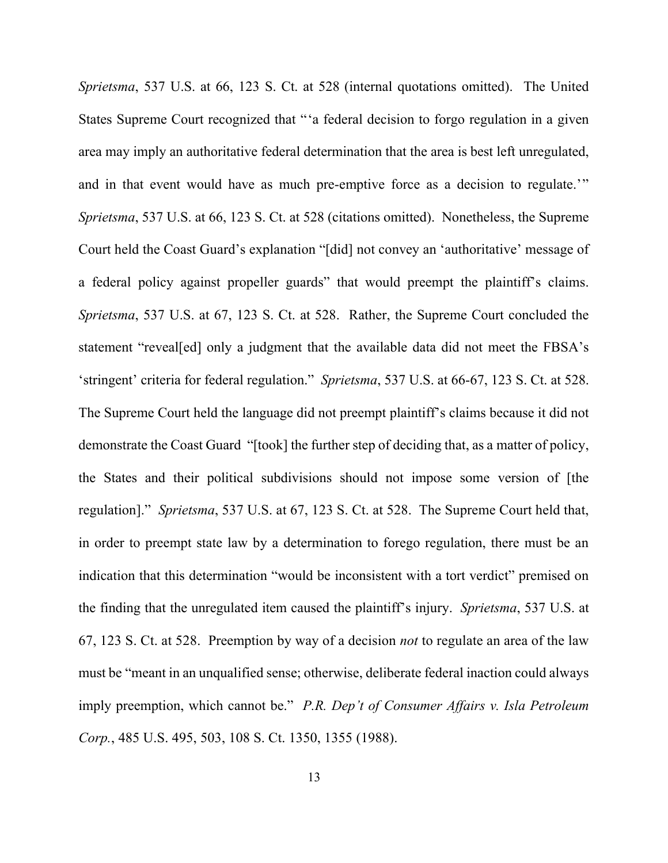*Sprietsma*, 537 U.S. at 66, 123 S. Ct. at 528 (internal quotations omitted). The United States Supreme Court recognized that "'a federal decision to forgo regulation in a given area may imply an authoritative federal determination that the area is best left unregulated, and in that event would have as much pre-emptive force as a decision to regulate.'" *Sprietsma*, 537 U.S. at 66, 123 S. Ct. at 528 (citations omitted). Nonetheless, the Supreme Court held the Coast Guard's explanation "[did] not convey an 'authoritative' message of a federal policy against propeller guards" that would preempt the plaintiff's claims. *Sprietsma*, 537 U.S. at 67, 123 S. Ct. at 528. Rather, the Supreme Court concluded the statement "reveal[ed] only a judgment that the available data did not meet the FBSA's 'stringent' criteria for federal regulation." *Sprietsma*, 537 U.S. at 66-67, 123 S. Ct. at 528. The Supreme Court held the language did not preempt plaintiff's claims because it did not demonstrate the Coast Guard "[took] the further step of deciding that, as a matter of policy, the States and their political subdivisions should not impose some version of [the regulation]." *Sprietsma*, 537 U.S. at 67, 123 S. Ct. at 528. The Supreme Court held that, in order to preempt state law by a determination to forego regulation, there must be an indication that this determination "would be inconsistent with a tort verdict" premised on the finding that the unregulated item caused the plaintiff's injury. *Sprietsma*, 537 U.S. at 67, 123 S. Ct. at 528. Preemption by way of a decision *not* to regulate an area of the law must be "meant in an unqualified sense; otherwise, deliberate federal inaction could always imply preemption, which cannot be." *P.R. Dep't of Consumer Affairs v. Isla Petroleum Corp.*, 485 U.S. 495, 503, 108 S. Ct. 1350, 1355 (1988).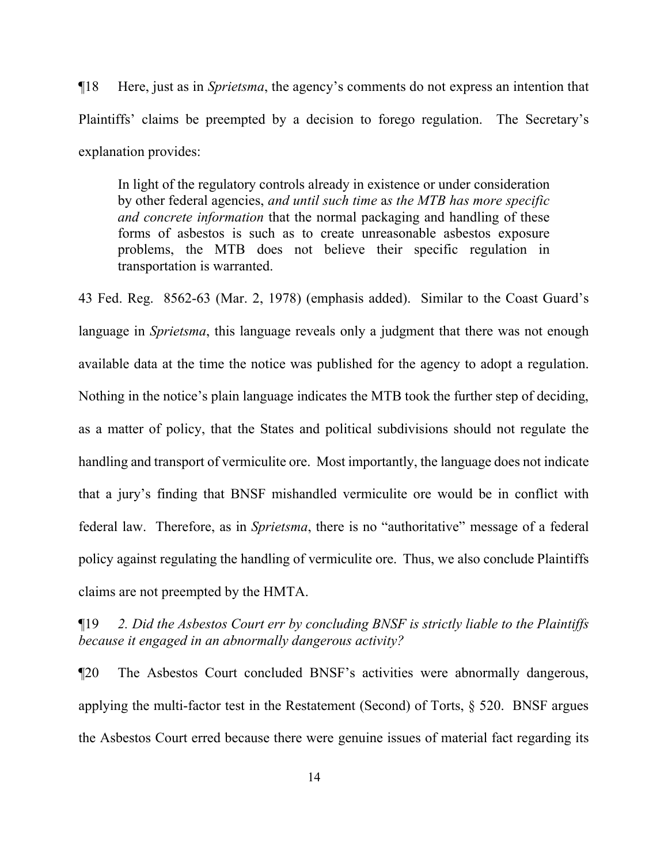¶18 Here, just as in *Sprietsma*, the agency's comments do not express an intention that Plaintiffs' claims be preempted by a decision to forego regulation. The Secretary's explanation provides:

In light of the regulatory controls already in existence or under consideration by other federal agencies, *and until such time* a*s the MTB has more specific and concrete information* that the normal packaging and handling of these forms of asbestos is such as to create unreasonable asbestos exposure problems, the MTB does not believe their specific regulation in transportation is warranted.

43 Fed. Reg. 8562-63 (Mar. 2, 1978) (emphasis added). Similar to the Coast Guard's language in *Sprietsma*, this language reveals only a judgment that there was not enough available data at the time the notice was published for the agency to adopt a regulation. Nothing in the notice's plain language indicates the MTB took the further step of deciding, as a matter of policy, that the States and political subdivisions should not regulate the handling and transport of vermiculite ore. Most importantly, the language does not indicate that a jury's finding that BNSF mishandled vermiculite ore would be in conflict with federal law. Therefore, as in *Sprietsma*, there is no "authoritative" message of a federal policy against regulating the handling of vermiculite ore. Thus, we also conclude Plaintiffs claims are not preempted by the HMTA.

¶19 *2. Did the Asbestos Court err by concluding BNSF is strictly liable to the Plaintiffs because it engaged in an abnormally dangerous activity?*

¶20 The Asbestos Court concluded BNSF's activities were abnormally dangerous, applying the multi-factor test in the Restatement (Second) of Torts, § 520. BNSF argues the Asbestos Court erred because there were genuine issues of material fact regarding its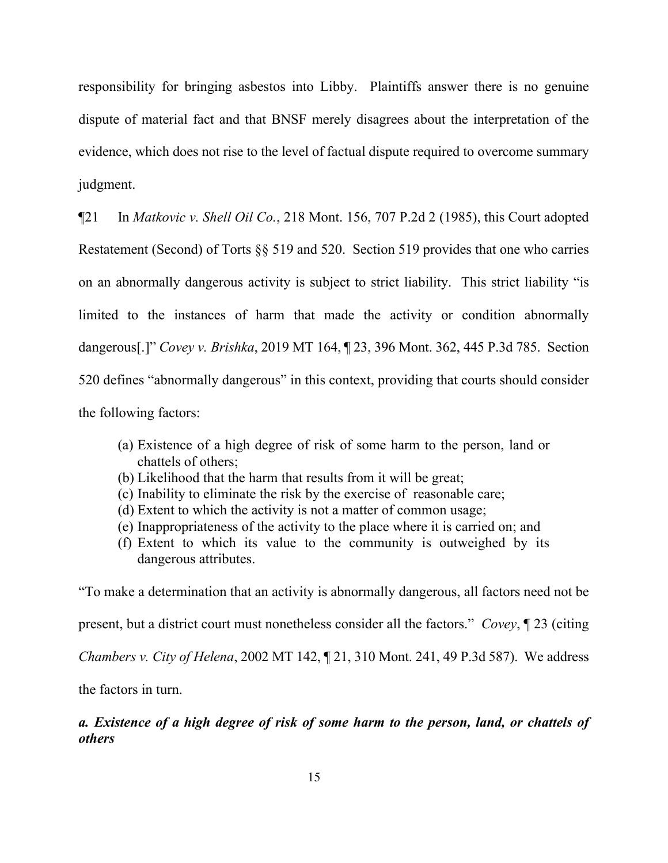responsibility for bringing asbestos into Libby. Plaintiffs answer there is no genuine dispute of material fact and that BNSF merely disagrees about the interpretation of the evidence, which does not rise to the level of factual dispute required to overcome summary judgment.

¶21 In *Matkovic v. Shell Oil Co.*, 218 Mont. 156, 707 P.2d 2 (1985), this Court adopted Restatement (Second) of Torts §§ 519 and 520. Section 519 provides that one who carries on an abnormally dangerous activity is subject to strict liability. This strict liability "is limited to the instances of harm that made the activity or condition abnormally dangerous[.]" *Covey v. Brishka*, 2019 MT 164, ¶ 23, 396 Mont. 362, 445 P.3d 785. Section 520 defines "abnormally dangerous" in this context, providing that courts should consider the following factors:

- (a) Existence of a high degree of risk of some harm to the person, land or chattels of others;
- (b) Likelihood that the harm that results from it will be great;
- (c) Inability to eliminate the risk by the exercise of reasonable care;
- (d) Extent to which the activity is not a matter of common usage;
- (e) Inappropriateness of the activity to the place where it is carried on; and
- (f) Extent to which its value to the community is outweighed by its dangerous attributes.

"To make a determination that an activity is abnormally dangerous, all factors need not be present, but a district court must nonetheless consider all the factors." *Covey*, ¶ 23 (citing *Chambers v. City of Helena*, 2002 MT 142, ¶ 21, 310 Mont. 241, 49 P.3d 587). We address

the factors in turn.

*a. Existence of a high degree of risk of some harm to the person, land, or chattels of others*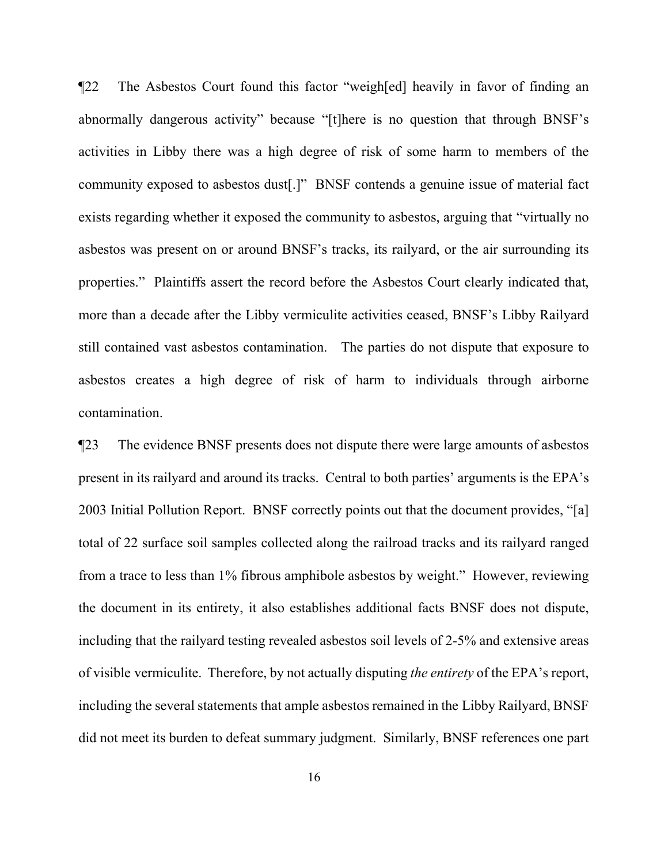¶22 The Asbestos Court found this factor "weigh[ed] heavily in favor of finding an abnormally dangerous activity" because "[t]here is no question that through BNSF's activities in Libby there was a high degree of risk of some harm to members of the community exposed to asbestos dust[.]" BNSF contends a genuine issue of material fact exists regarding whether it exposed the community to asbestos, arguing that "virtually no asbestos was present on or around BNSF's tracks, its railyard, or the air surrounding its properties." Plaintiffs assert the record before the Asbestos Court clearly indicated that, more than a decade after the Libby vermiculite activities ceased, BNSF's Libby Railyard still contained vast asbestos contamination. The parties do not dispute that exposure to asbestos creates a high degree of risk of harm to individuals through airborne contamination.

¶23 The evidence BNSF presents does not dispute there were large amounts of asbestos present in its railyard and around its tracks. Central to both parties' arguments is the EPA's 2003 Initial Pollution Report. BNSF correctly points out that the document provides, "[a] total of 22 surface soil samples collected along the railroad tracks and its railyard ranged from a trace to less than 1% fibrous amphibole asbestos by weight." However, reviewing the document in its entirety, it also establishes additional facts BNSF does not dispute, including that the railyard testing revealed asbestos soil levels of 2-5% and extensive areas of visible vermiculite. Therefore, by not actually disputing *the entirety* of the EPA's report, including the several statements that ample asbestos remained in the Libby Railyard, BNSF did not meet its burden to defeat summary judgment. Similarly, BNSF references one part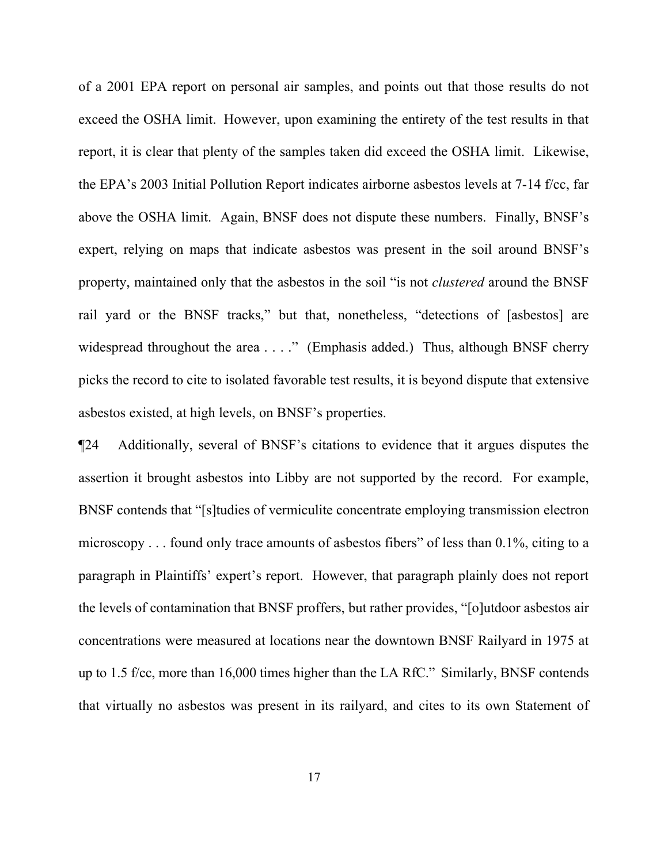of a 2001 EPA report on personal air samples, and points out that those results do not exceed the OSHA limit. However, upon examining the entirety of the test results in that report, it is clear that plenty of the samples taken did exceed the OSHA limit. Likewise, the EPA's 2003 Initial Pollution Report indicates airborne asbestos levels at 7-14 f/cc, far above the OSHA limit. Again, BNSF does not dispute these numbers. Finally, BNSF's expert, relying on maps that indicate asbestos was present in the soil around BNSF's property, maintained only that the asbestos in the soil "is not *clustered* around the BNSF rail yard or the BNSF tracks," but that, nonetheless, "detections of [asbestos] are widespread throughout the area . . . ." (Emphasis added.) Thus, although BNSF cherry picks the record to cite to isolated favorable test results, it is beyond dispute that extensive asbestos existed, at high levels, on BNSF's properties.

¶24 Additionally, several of BNSF's citations to evidence that it argues disputes the assertion it brought asbestos into Libby are not supported by the record. For example, BNSF contends that "[s]tudies of vermiculite concentrate employing transmission electron microscopy . . . found only trace amounts of asbestos fibers" of less than 0.1%, citing to a paragraph in Plaintiffs' expert's report. However, that paragraph plainly does not report the levels of contamination that BNSF proffers, but rather provides, "[o]utdoor asbestos air concentrations were measured at locations near the downtown BNSF Railyard in 1975 at up to 1.5 f/cc, more than 16,000 times higher than the LA RfC." Similarly, BNSF contends that virtually no asbestos was present in its railyard, and cites to its own Statement of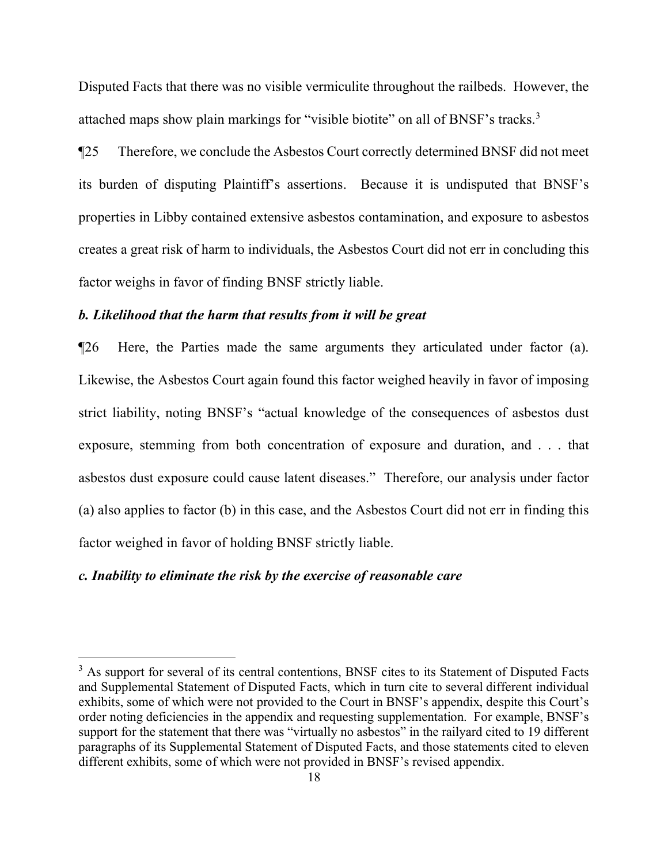Disputed Facts that there was no visible vermiculite throughout the railbeds. However, the attached maps show plain markings for "visible biotite" on all of BNSF's tracks. [3](#page-17-0)

¶25 Therefore, we conclude the Asbestos Court correctly determined BNSF did not meet its burden of disputing Plaintiff's assertions. Because it is undisputed that BNSF's properties in Libby contained extensive asbestos contamination, and exposure to asbestos creates a great risk of harm to individuals, the Asbestos Court did not err in concluding this factor weighs in favor of finding BNSF strictly liable.

## *b. Likelihood that the harm that results from it will be great*

¶26 Here, the Parties made the same arguments they articulated under factor (a). Likewise, the Asbestos Court again found this factor weighed heavily in favor of imposing strict liability, noting BNSF's "actual knowledge of the consequences of asbestos dust exposure, stemming from both concentration of exposure and duration, and . . . that asbestos dust exposure could cause latent diseases." Therefore, our analysis under factor (a) also applies to factor (b) in this case, and the Asbestos Court did not err in finding this factor weighed in favor of holding BNSF strictly liable.

# *c. Inability to eliminate the risk by the exercise of reasonable care*

 $\overline{a}$ 

<span id="page-17-0"></span><sup>&</sup>lt;sup>3</sup> As support for several of its central contentions, BNSF cites to its Statement of Disputed Facts and Supplemental Statement of Disputed Facts, which in turn cite to several different individual exhibits, some of which were not provided to the Court in BNSF's appendix, despite this Court's order noting deficiencies in the appendix and requesting supplementation. For example, BNSF's support for the statement that there was "virtually no asbestos" in the railyard cited to 19 different paragraphs of its Supplemental Statement of Disputed Facts, and those statements cited to eleven different exhibits, some of which were not provided in BNSF's revised appendix.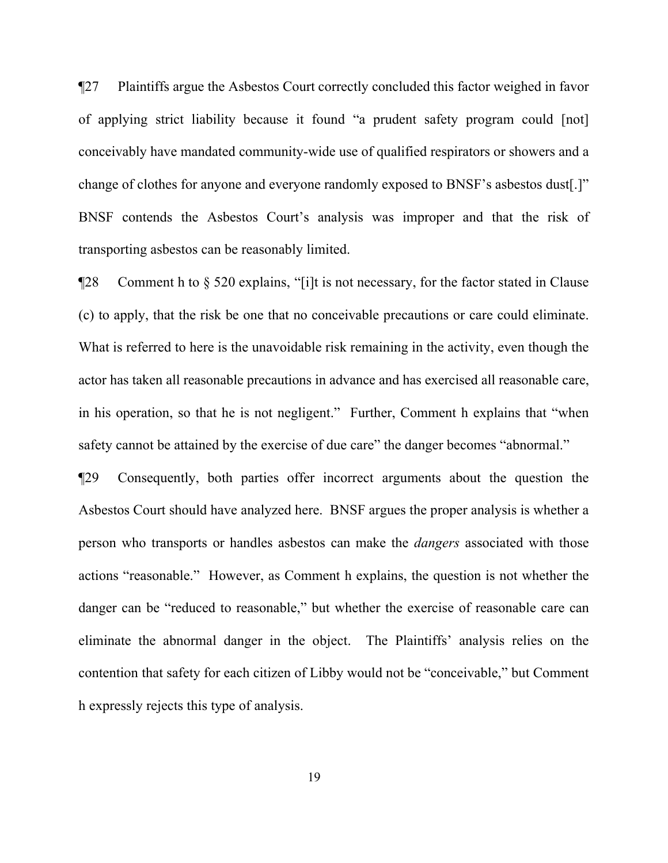¶27 Plaintiffs argue the Asbestos Court correctly concluded this factor weighed in favor of applying strict liability because it found "a prudent safety program could [not] conceivably have mandated community-wide use of qualified respirators or showers and a change of clothes for anyone and everyone randomly exposed to BNSF's asbestos dust[.]" BNSF contends the Asbestos Court's analysis was improper and that the risk of transporting asbestos can be reasonably limited.

¶28 Comment h to § 520 explains, "[i]t is not necessary, for the factor stated in Clause (c) to apply, that the risk be one that no conceivable precautions or care could eliminate. What is referred to here is the unavoidable risk remaining in the activity, even though the actor has taken all reasonable precautions in advance and has exercised all reasonable care, in his operation, so that he is not negligent." Further, Comment h explains that "when safety cannot be attained by the exercise of due care" the danger becomes "abnormal."

¶29 Consequently, both parties offer incorrect arguments about the question the Asbestos Court should have analyzed here. BNSF argues the proper analysis is whether a person who transports or handles asbestos can make the *dangers* associated with those actions "reasonable." However, as Comment h explains, the question is not whether the danger can be "reduced to reasonable," but whether the exercise of reasonable care can eliminate the abnormal danger in the object. The Plaintiffs' analysis relies on the contention that safety for each citizen of Libby would not be "conceivable," but Comment h expressly rejects this type of analysis.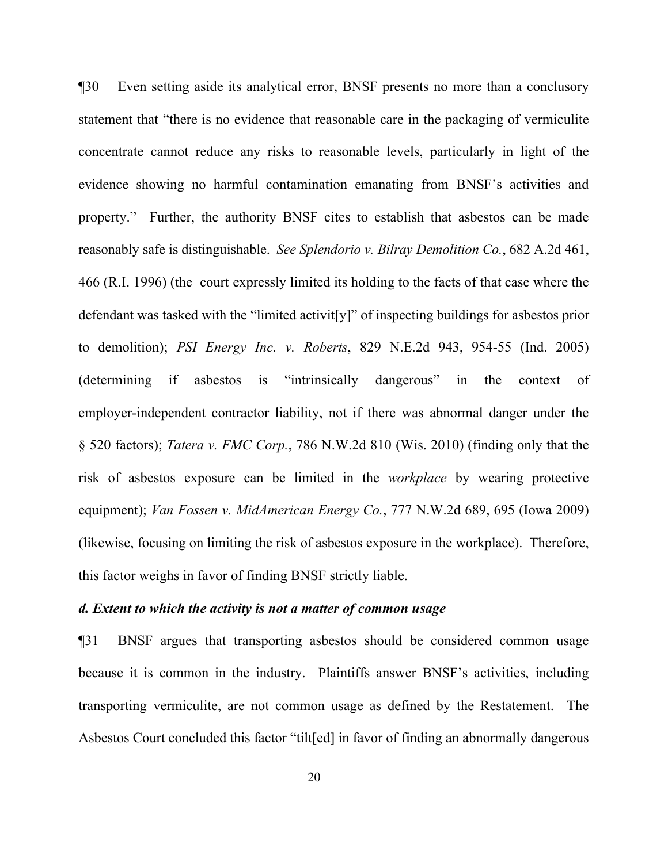¶30 Even setting aside its analytical error, BNSF presents no more than a conclusory statement that "there is no evidence that reasonable care in the packaging of vermiculite concentrate cannot reduce any risks to reasonable levels, particularly in light of the evidence showing no harmful contamination emanating from BNSF's activities and property." Further, the authority BNSF cites to establish that asbestos can be made reasonably safe is distinguishable. *See Splendorio v. Bilray Demolition Co.*, 682 A.2d 461, 466 (R.I. 1996) (the court expressly limited its holding to the facts of that case where the defendant was tasked with the "limited activit[y]" of inspecting buildings for asbestos prior to demolition); *PSI Energy Inc. v. Roberts*, 829 N.E.2d 943, 954-55 (Ind. 2005) (determining if asbestos is "intrinsically dangerous" in the context of employer-independent contractor liability, not if there was abnormal danger under the § 520 factors); *Tatera v. FMC Corp.*, 786 N.W.2d 810 (Wis. 2010) (finding only that the risk of asbestos exposure can be limited in the *workplace* by wearing protective equipment); *Van Fossen v. MidAmerican Energy Co.*, 777 N.W.2d 689, 695 (Iowa 2009) (likewise, focusing on limiting the risk of asbestos exposure in the workplace). Therefore, this factor weighs in favor of finding BNSF strictly liable.

# *d. Extent to which the activity is not a matter of common usage*

¶31 BNSF argues that transporting asbestos should be considered common usage because it is common in the industry. Plaintiffs answer BNSF's activities, including transporting vermiculite, are not common usage as defined by the Restatement. The Asbestos Court concluded this factor "tilt[ed] in favor of finding an abnormally dangerous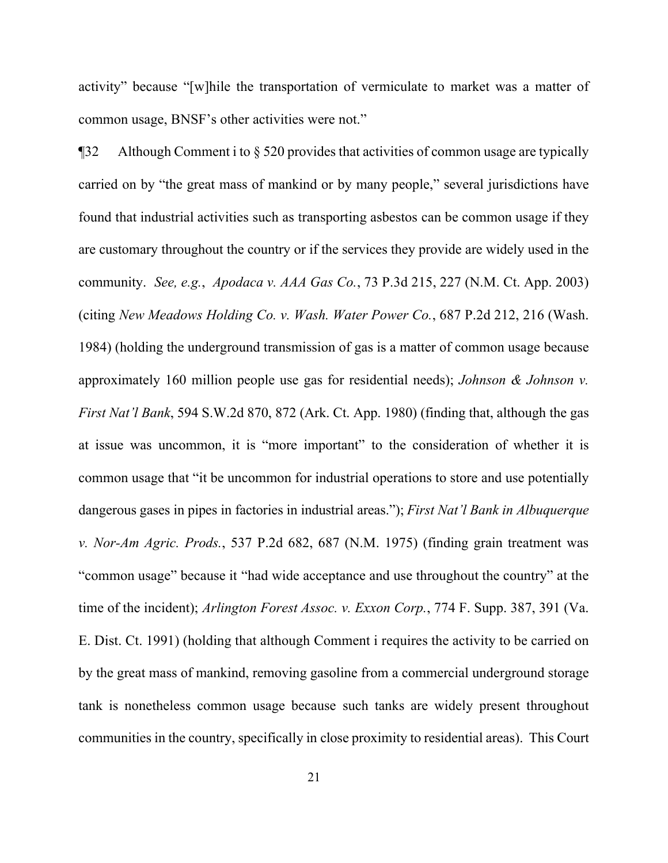activity" because "[w]hile the transportation of vermiculate to market was a matter of common usage, BNSF's other activities were not."

¶32 Although Comment i to § 520 provides that activities of common usage are typically carried on by "the great mass of mankind or by many people," several jurisdictions have found that industrial activities such as transporting asbestos can be common usage if they are customary throughout the country or if the services they provide are widely used in the community. *See, e.g.*, *Apodaca v. AAA Gas Co.*, 73 P.3d 215, 227 (N.M. Ct. App. 2003) (citing *New Meadows Holding Co. v. Wash. Water Power Co.*, 687 P.2d 212, 216 (Wash. 1984) (holding the underground transmission of gas is a matter of common usage because approximately 160 million people use gas for residential needs); *Johnson & Johnson v. First Nat'l Bank*, 594 S.W.2d 870, 872 (Ark. Ct. App. 1980) (finding that, although the gas at issue was uncommon, it is "more important" to the consideration of whether it is common usage that "it be uncommon for industrial operations to store and use potentially dangerous gases in pipes in factories in industrial areas."); *First Nat'l Bank in Albuquerque v. Nor-Am Agric. Prods.*, 537 P.2d 682, 687 (N.M. 1975) (finding grain treatment was "common usage" because it "had wide acceptance and use throughout the country" at the time of the incident); *Arlington Forest Assoc. v. Exxon Corp.*, 774 F. Supp. 387, 391 (Va. E. Dist. Ct. 1991) (holding that although Comment i requires the activity to be carried on by the great mass of mankind, removing gasoline from a commercial underground storage tank is nonetheless common usage because such tanks are widely present throughout communities in the country, specifically in close proximity to residential areas). This Court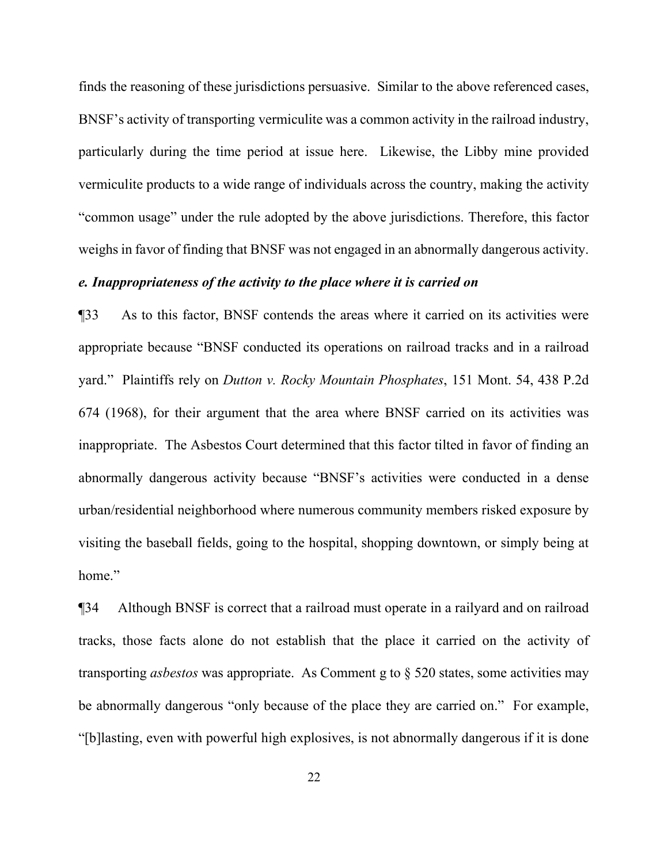finds the reasoning of these jurisdictions persuasive. Similar to the above referenced cases, BNSF's activity of transporting vermiculite was a common activity in the railroad industry, particularly during the time period at issue here. Likewise, the Libby mine provided vermiculite products to a wide range of individuals across the country, making the activity "common usage" under the rule adopted by the above jurisdictions. Therefore, this factor weighs in favor of finding that BNSF was not engaged in an abnormally dangerous activity.

## *e. Inappropriateness of the activity to the place where it is carried on*

¶33 As to this factor, BNSF contends the areas where it carried on its activities were appropriate because "BNSF conducted its operations on railroad tracks and in a railroad yard." Plaintiffs rely on *Dutton v. Rocky Mountain Phosphates*, 151 Mont. 54, 438 P.2d 674 (1968), for their argument that the area where BNSF carried on its activities was inappropriate. The Asbestos Court determined that this factor tilted in favor of finding an abnormally dangerous activity because "BNSF's activities were conducted in a dense urban/residential neighborhood where numerous community members risked exposure by visiting the baseball fields, going to the hospital, shopping downtown, or simply being at home."

¶34 Although BNSF is correct that a railroad must operate in a railyard and on railroad tracks, those facts alone do not establish that the place it carried on the activity of transporting *asbestos* was appropriate. As Comment g to § 520 states, some activities may be abnormally dangerous "only because of the place they are carried on." For example, "[b]lasting, even with powerful high explosives, is not abnormally dangerous if it is done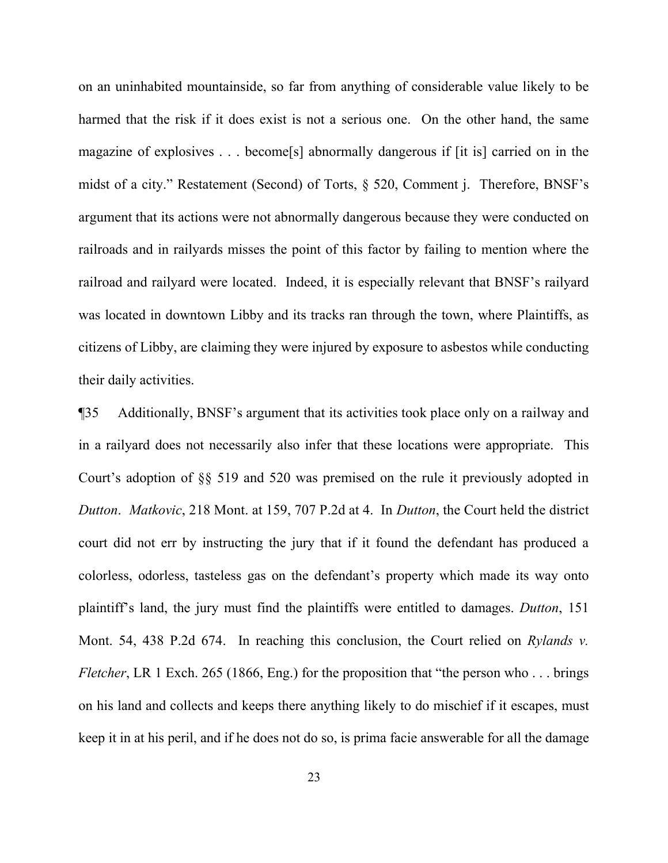on an uninhabited mountainside, so far from anything of considerable value likely to be harmed that the risk if it does exist is not a serious one. On the other hand, the same magazine of explosives . . . become[s] abnormally dangerous if [it is] carried on in the midst of a city." Restatement (Second) of Torts, § 520, Comment j. Therefore, BNSF's argument that its actions were not abnormally dangerous because they were conducted on railroads and in railyards misses the point of this factor by failing to mention where the railroad and railyard were located. Indeed, it is especially relevant that BNSF's railyard was located in downtown Libby and its tracks ran through the town, where Plaintiffs, as citizens of Libby, are claiming they were injured by exposure to asbestos while conducting their daily activities.

¶35 Additionally, BNSF's argument that its activities took place only on a railway and in a railyard does not necessarily also infer that these locations were appropriate. This Court's adoption of §§ 519 and 520 was premised on the rule it previously adopted in *Dutton*. *Matkovic*, 218 Mont. at 159, 707 P.2d at 4. In *Dutton*, the Court held the district court did not err by instructing the jury that if it found the defendant has produced a colorless, odorless, tasteless gas on the defendant's property which made its way onto plaintiff's land, the jury must find the plaintiffs were entitled to damages. *Dutton*, 151 Mont. 54, 438 P.2d 674. In reaching this conclusion, the Court relied on *Rylands v. Fletcher*, LR 1 Exch. 265 (1866, Eng.) for the proposition that "the person who . . . brings on his land and collects and keeps there anything likely to do mischief if it escapes, must keep it in at his peril, and if he does not do so, is prima facie answerable for all the damage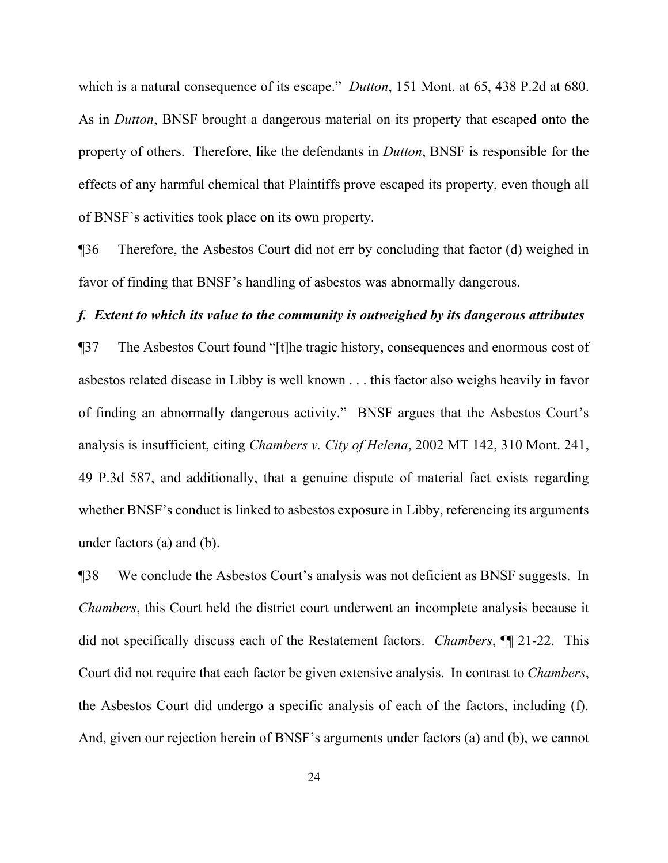which is a natural consequence of its escape." *Dutton*, 151 Mont. at 65, 438 P.2d at 680. As in *Dutton*, BNSF brought a dangerous material on its property that escaped onto the property of others. Therefore, like the defendants in *Dutton*, BNSF is responsible for the effects of any harmful chemical that Plaintiffs prove escaped its property, even though all of BNSF's activities took place on its own property.

¶36 Therefore, the Asbestos Court did not err by concluding that factor (d) weighed in favor of finding that BNSF's handling of asbestos was abnormally dangerous.

## *f. Extent to which its value to the community is outweighed by its dangerous attributes*

¶37 The Asbestos Court found "[t]he tragic history, consequences and enormous cost of asbestos related disease in Libby is well known . . . this factor also weighs heavily in favor of finding an abnormally dangerous activity." BNSF argues that the Asbestos Court's analysis is insufficient, citing *Chambers v. City of Helena*, 2002 MT 142, 310 Mont. 241, 49 P.3d 587, and additionally, that a genuine dispute of material fact exists regarding whether BNSF's conduct is linked to asbestos exposure in Libby, referencing its arguments under factors (a) and (b).

¶38 We conclude the Asbestos Court's analysis was not deficient as BNSF suggests. In *Chambers*, this Court held the district court underwent an incomplete analysis because it did not specifically discuss each of the Restatement factors. *Chambers*, ¶¶ 21-22. This Court did not require that each factor be given extensive analysis. In contrast to *Chambers*, the Asbestos Court did undergo a specific analysis of each of the factors, including (f). And, given our rejection herein of BNSF's arguments under factors (a) and (b), we cannot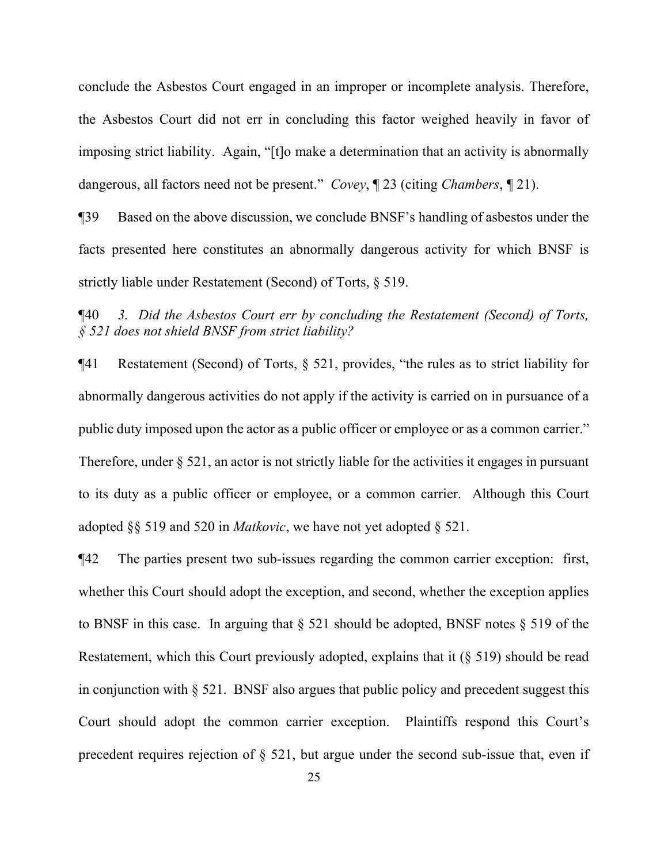conclude the Asbestos Court engaged in an improper or incomplete analysis. Therefore, the Asbestos Court did not err in concluding this factor weighed heavily in favor of imposing strict liability. Again, "[t]o make a determination that an activity is abnormally dangerous, all factors need not be present." *Covey*, ¶ 23 (citing *Chambers*, ¶ 21).

¶39 Based on the above discussion, we conclude BNSF's handling of asbestos under the facts presented here constitutes an abnormally dangerous activity for which BNSF is strictly liable under Restatement (Second) of Torts, § 519.

¶40 *3. Did the Asbestos Court err by concluding the Restatement (Second) of Torts, § 521 does not shield BNSF from strict liability?*

¶41 Restatement (Second) of Torts, § 521, provides, "the rules as to strict liability for abnormally dangerous activities do not apply if the activity is carried on in pursuance of a public duty imposed upon the actor as a public officer or employee or as a common carrier." Therefore, under  $\S$  521, an actor is not strictly liable for the activities it engages in pursuant to its duty as a public officer or employee, or a common carrier. Although this Court adopted §§ 519 and 520 in *Matkovic*, we have not yet adopted § 521.

¶42 The parties present two sub-issues regarding the common carrier exception: first, whether this Court should adopt the exception, and second, whether the exception applies to BNSF in this case. In arguing that § 521 should be adopted, BNSF notes § 519 of the Restatement, which this Court previously adopted, explains that it (§ 519) should be read in conjunction with § 521. BNSF also argues that public policy and precedent suggest this Court should adopt the common carrier exception. Plaintiffs respond this Court's precedent requires rejection of § 521, but argue under the second sub-issue that, even if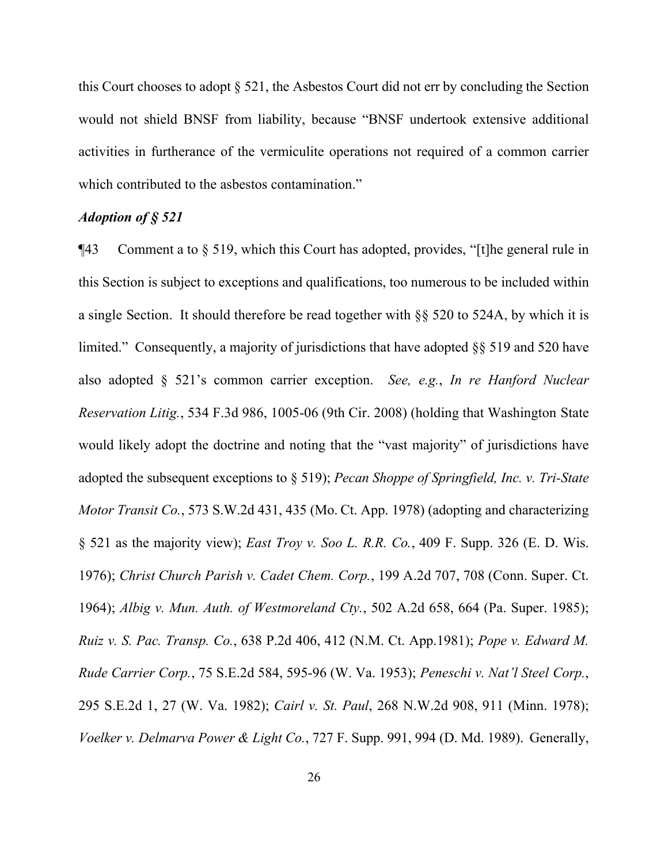this Court chooses to adopt § 521, the Asbestos Court did not err by concluding the Section would not shield BNSF from liability, because "BNSF undertook extensive additional activities in furtherance of the vermiculite operations not required of a common carrier which contributed to the asbestos contamination."

# *Adoption of § 521*

¶43 Comment a to § 519, which this Court has adopted, provides, "[t]he general rule in this Section is subject to exceptions and qualifications, too numerous to be included within a single Section. It should therefore be read together with §§ 520 to 524A, by which it is limited." Consequently, a majority of jurisdictions that have adopted §§ 519 and 520 have also adopted § 521's common carrier exception. *See, e.g.*, *In re Hanford Nuclear Reservation Litig.*, 534 F.3d 986, 1005-06 (9th Cir. 2008) (holding that Washington State would likely adopt the doctrine and noting that the "vast majority" of jurisdictions have adopted the subsequent exceptions to § 519); *Pecan Shoppe of Springfield, Inc. v. Tri-State Motor Transit Co.*, 573 S.W.2d 431, 435 (Mo. Ct. App. 1978) (adopting and characterizing § 521 as the majority view); *East Troy v. Soo L. R.R. Co.*, 409 F. Supp. 326 (E. D. Wis. 1976); *Christ Church Parish v. Cadet Chem. Corp.*, 199 A.2d 707, 708 (Conn. Super. Ct. 1964); *Albig v. Mun. Auth. of Westmoreland Cty.*, 502 A.2d 658, 664 (Pa. Super. 1985); *Ruiz v. S. Pac. Transp. Co.*, 638 P.2d 406, 412 (N.M. Ct. App.1981); *Pope v. Edward M. Rude Carrier Corp.*, 75 S.E.2d 584, 595-96 (W. Va. 1953); *Peneschi v. Nat'l Steel Corp.*, 295 S.E.2d 1, 27 (W. Va. 1982); *Cairl v. St. Paul*, 268 N.W.2d 908, 911 (Minn. 1978); *Voelker v. Delmarva Power & Light Co.*, 727 F. Supp. 991, 994 (D. Md. 1989). Generally,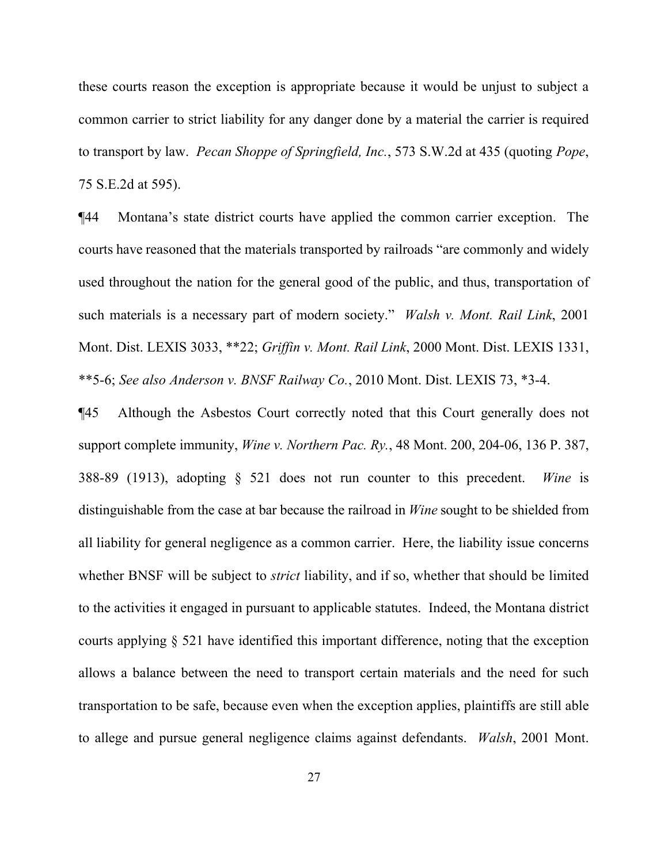these courts reason the exception is appropriate because it would be unjust to subject a common carrier to strict liability for any danger done by a material the carrier is required to transport by law. *Pecan Shoppe of Springfield, Inc.*, 573 S.W.2d at 435 (quoting *Pope*, 75 S.E.2d at 595).

¶44 Montana's state district courts have applied the common carrier exception. The courts have reasoned that the materials transported by railroads "are commonly and widely used throughout the nation for the general good of the public, and thus, transportation of such materials is a necessary part of modern society." *Walsh v. Mont. Rail Link*, 2001 Mont. Dist. LEXIS 3033, \*\*22; *Griffin v. Mont. Rail Link*, 2000 Mont. Dist. LEXIS 1331, \*\*5-6; *See also Anderson v. BNSF Railway Co.*, 2010 Mont. Dist. LEXIS 73, \*3-4.

¶45 Although the Asbestos Court correctly noted that this Court generally does not support complete immunity, *Wine v. Northern Pac. Ry.*, 48 Mont. 200, 204-06, 136 P. 387, 388-89 (1913), adopting § 521 does not run counter to this precedent. *Wine* is distinguishable from the case at bar because the railroad in *Wine* sought to be shielded from all liability for general negligence as a common carrier. Here, the liability issue concerns whether BNSF will be subject to *strict* liability, and if so, whether that should be limited to the activities it engaged in pursuant to applicable statutes. Indeed, the Montana district courts applying § 521 have identified this important difference, noting that the exception allows a balance between the need to transport certain materials and the need for such transportation to be safe, because even when the exception applies, plaintiffs are still able to allege and pursue general negligence claims against defendants. *Walsh*, 2001 Mont.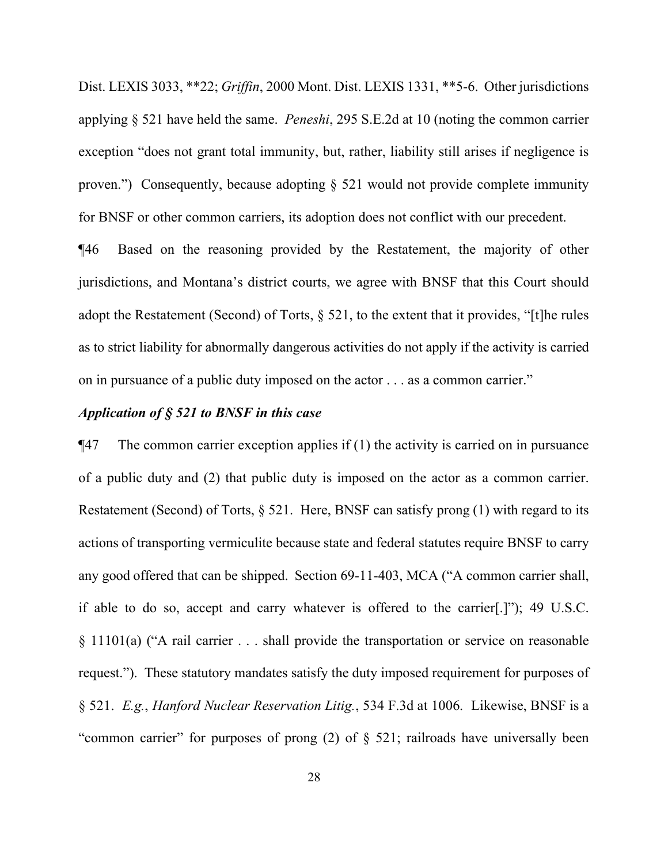Dist. LEXIS 3033, \*\*22; *Griffin*, 2000 Mont. Dist. LEXIS 1331, \*\*5-6. Other jurisdictions applying § 521 have held the same. *Peneshi*, 295 S.E.2d at 10 (noting the common carrier exception "does not grant total immunity, but, rather, liability still arises if negligence is proven.") Consequently, because adopting § 521 would not provide complete immunity for BNSF or other common carriers, its adoption does not conflict with our precedent.

¶46 Based on the reasoning provided by the Restatement, the majority of other jurisdictions, and Montana's district courts, we agree with BNSF that this Court should adopt the Restatement (Second) of Torts, § 521, to the extent that it provides, "[t]he rules as to strict liability for abnormally dangerous activities do not apply if the activity is carried on in pursuance of a public duty imposed on the actor . . . as a common carrier."

## *Application of § 521 to BNSF in this case*

 $\P$ 47 The common carrier exception applies if (1) the activity is carried on in pursuance of a public duty and (2) that public duty is imposed on the actor as a common carrier. Restatement (Second) of Torts, § 521. Here, BNSF can satisfy prong (1) with regard to its actions of transporting vermiculite because state and federal statutes require BNSF to carry any good offered that can be shipped. Section 69-11-403, MCA ("A common carrier shall, if able to do so, accept and carry whatever is offered to the carrier[.]"); 49 U.S.C. § 11101(a) ("A rail carrier . . . shall provide the transportation or service on reasonable request."). These statutory mandates satisfy the duty imposed requirement for purposes of § 521. *E.g.*, *Hanford Nuclear Reservation Litig.*, 534 F.3d at 1006. Likewise, BNSF is a "common carrier" for purposes of prong  $(2)$  of  $\S$  521; railroads have universally been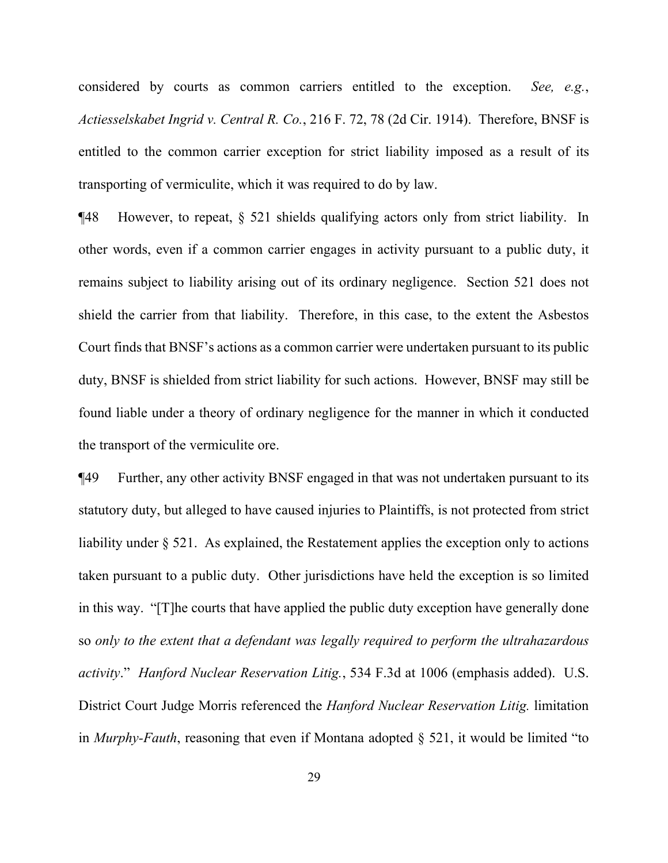considered by courts as common carriers entitled to the exception. *See, e.g.*, *Actiesselskabet Ingrid v. Central R. Co.*, 216 F. 72, 78 (2d Cir. 1914). Therefore, BNSF is entitled to the common carrier exception for strict liability imposed as a result of its transporting of vermiculite, which it was required to do by law.

¶48 However, to repeat, § 521 shields qualifying actors only from strict liability. In other words, even if a common carrier engages in activity pursuant to a public duty, it remains subject to liability arising out of its ordinary negligence. Section 521 does not shield the carrier from that liability. Therefore, in this case, to the extent the Asbestos Court finds that BNSF's actions as a common carrier were undertaken pursuant to its public duty, BNSF is shielded from strict liability for such actions. However, BNSF may still be found liable under a theory of ordinary negligence for the manner in which it conducted the transport of the vermiculite ore.

¶49 Further, any other activity BNSF engaged in that was not undertaken pursuant to its statutory duty, but alleged to have caused injuries to Plaintiffs, is not protected from strict liability under § 521. As explained, the Restatement applies the exception only to actions taken pursuant to a public duty. Other jurisdictions have held the exception is so limited in this way. "[T]he courts that have applied the public duty exception have generally done so *only to the extent that a defendant was legally required to perform the ultrahazardous activity*." *Hanford Nuclear Reservation Litig.*, 534 F.3d at 1006 (emphasis added). U.S. District Court Judge Morris referenced the *Hanford Nuclear Reservation Litig.* limitation in *Murphy-Fauth*, reasoning that even if Montana adopted § 521, it would be limited "to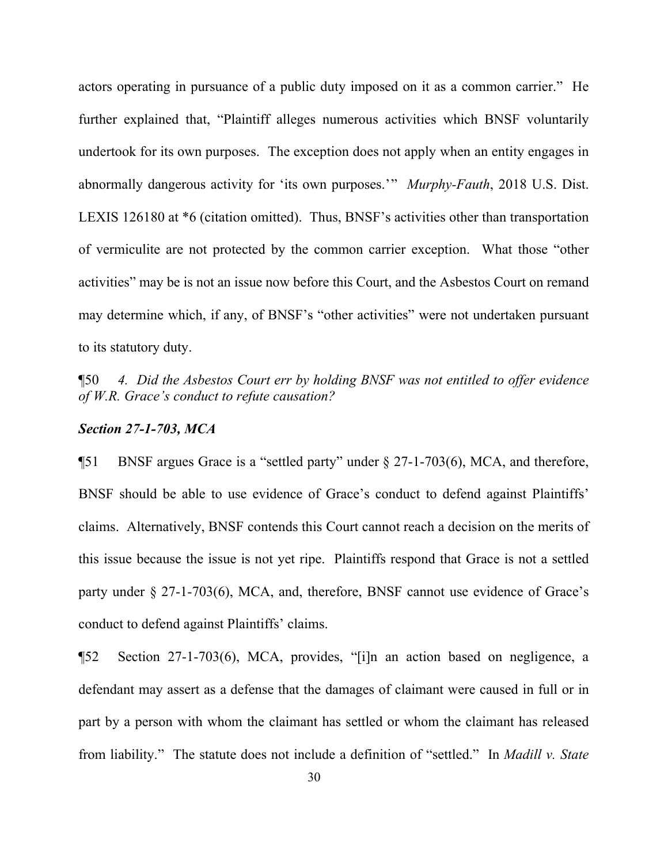actors operating in pursuance of a public duty imposed on it as a common carrier." He further explained that, "Plaintiff alleges numerous activities which BNSF voluntarily undertook for its own purposes. The exception does not apply when an entity engages in abnormally dangerous activity for 'its own purposes.'" *Murphy-Fauth*, 2018 U.S. Dist. LEXIS 126180 at \*6 (citation omitted). Thus, BNSF's activities other than transportation of vermiculite are not protected by the common carrier exception. What those "other activities" may be is not an issue now before this Court, and the Asbestos Court on remand may determine which, if any, of BNSF's "other activities" were not undertaken pursuant to its statutory duty.

¶50 *4. Did the Asbestos Court err by holding BNSF was not entitled to offer evidence of W.R. Grace's conduct to refute causation?*

#### *Section 27-1-703, MCA*

¶51 BNSF argues Grace is a "settled party" under § 27-1-703(6), MCA, and therefore, BNSF should be able to use evidence of Grace's conduct to defend against Plaintiffs' claims. Alternatively, BNSF contends this Court cannot reach a decision on the merits of this issue because the issue is not yet ripe. Plaintiffs respond that Grace is not a settled party under § 27-1-703(6), MCA, and, therefore, BNSF cannot use evidence of Grace's conduct to defend against Plaintiffs' claims.

¶52 Section 27-1-703(6), MCA, provides, "[i]n an action based on negligence, a defendant may assert as a defense that the damages of claimant were caused in full or in part by a person with whom the claimant has settled or whom the claimant has released from liability." The statute does not include a definition of "settled." In *Madill v. State*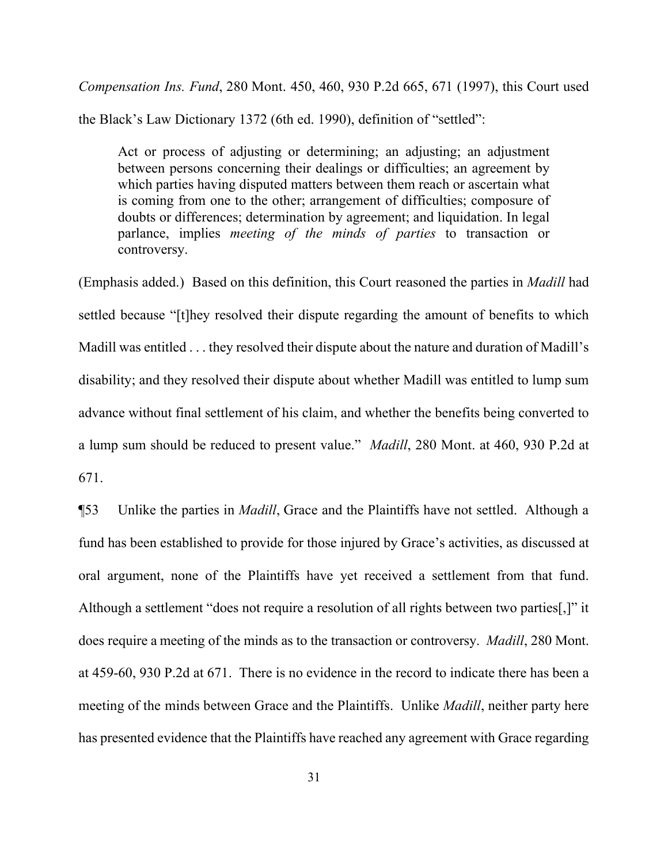*Compensation Ins. Fund*, 280 Mont. 450, 460, 930 P.2d 665, 671 (1997), this Court used the Black's Law Dictionary 1372 (6th ed. 1990), definition of "settled":

Act or process of adjusting or determining; an adjusting; an adjustment between persons concerning their dealings or difficulties; an agreement by which parties having disputed matters between them reach or ascertain what is coming from one to the other; arrangement of difficulties; composure of doubts or differences; determination by agreement; and liquidation. In legal parlance, implies *meeting of the minds of parties* to transaction or controversy.

(Emphasis added.) Based on this definition, this Court reasoned the parties in *Madill* had settled because "[t]hey resolved their dispute regarding the amount of benefits to which Madill was entitled . . . they resolved their dispute about the nature and duration of Madill's disability; and they resolved their dispute about whether Madill was entitled to lump sum advance without final settlement of his claim, and whether the benefits being converted to a lump sum should be reduced to present value." *Madill*, 280 Mont. at 460, 930 P.2d at 671.

¶53 Unlike the parties in *Madill*, Grace and the Plaintiffs have not settled. Although a fund has been established to provide for those injured by Grace's activities, as discussed at oral argument, none of the Plaintiffs have yet received a settlement from that fund. Although a settlement "does not require a resolution of all rights between two parties[,]" it does require a meeting of the minds as to the transaction or controversy. *Madill*, 280 Mont. at 459-60, 930 P.2d at 671. There is no evidence in the record to indicate there has been a meeting of the minds between Grace and the Plaintiffs. Unlike *Madill*, neither party here has presented evidence that the Plaintiffs have reached any agreement with Grace regarding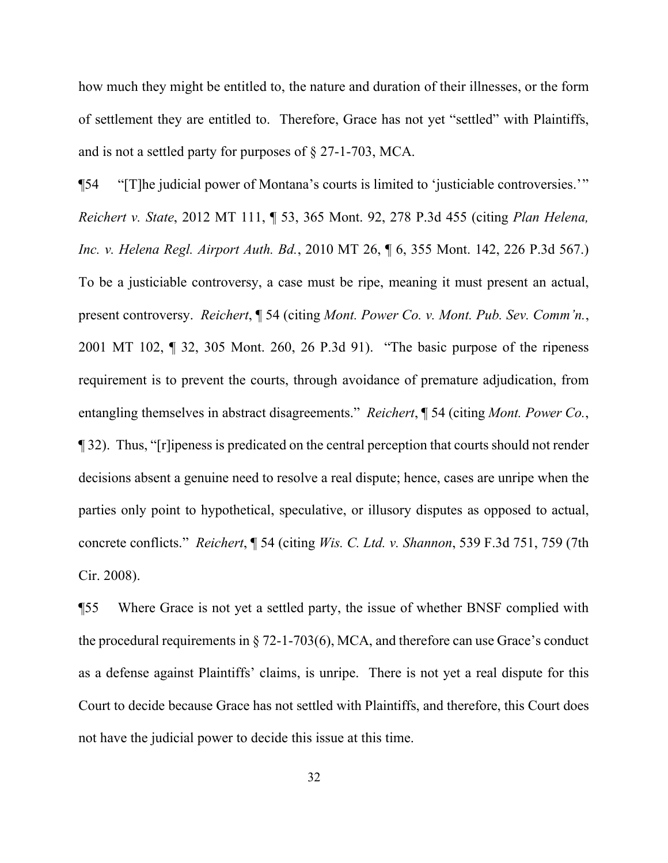how much they might be entitled to, the nature and duration of their illnesses, or the form of settlement they are entitled to. Therefore, Grace has not yet "settled" with Plaintiffs, and is not a settled party for purposes of § 27-1-703, MCA.

¶54 "[T]he judicial power of Montana's courts is limited to 'justiciable controversies.'" *Reichert v. State*, 2012 MT 111, ¶ 53, 365 Mont. 92, 278 P.3d 455 (citing *Plan Helena, Inc. v. Helena Regl. Airport Auth. Bd.*, 2010 MT 26, ¶ 6, 355 Mont. 142, 226 P.3d 567.) To be a justiciable controversy, a case must be ripe, meaning it must present an actual, present controversy. *Reichert*, ¶ 54 (citing *Mont. Power Co. v. Mont. Pub. Sev. Comm'n.*, 2001 MT 102, ¶ 32, 305 Mont. 260, 26 P.3d 91). "The basic purpose of the ripeness requirement is to prevent the courts, through avoidance of premature adjudication, from entangling themselves in abstract disagreements." *Reichert*, ¶ 54 (citing *Mont. Power Co.*, ¶ 32). Thus, "[r]ipeness is predicated on the central perception that courts should not render decisions absent a genuine need to resolve a real dispute; hence, cases are unripe when the parties only point to hypothetical, speculative, or illusory disputes as opposed to actual, concrete conflicts." *Reichert*, ¶ 54 (citing *Wis. C. Ltd. v. Shannon*, 539 F.3d 751, 759 (7th Cir. 2008).

¶55 Where Grace is not yet a settled party, the issue of whether BNSF complied with the procedural requirements in § 72-1-703(6), MCA, and therefore can use Grace's conduct as a defense against Plaintiffs' claims, is unripe. There is not yet a real dispute for this Court to decide because Grace has not settled with Plaintiffs, and therefore, this Court does not have the judicial power to decide this issue at this time.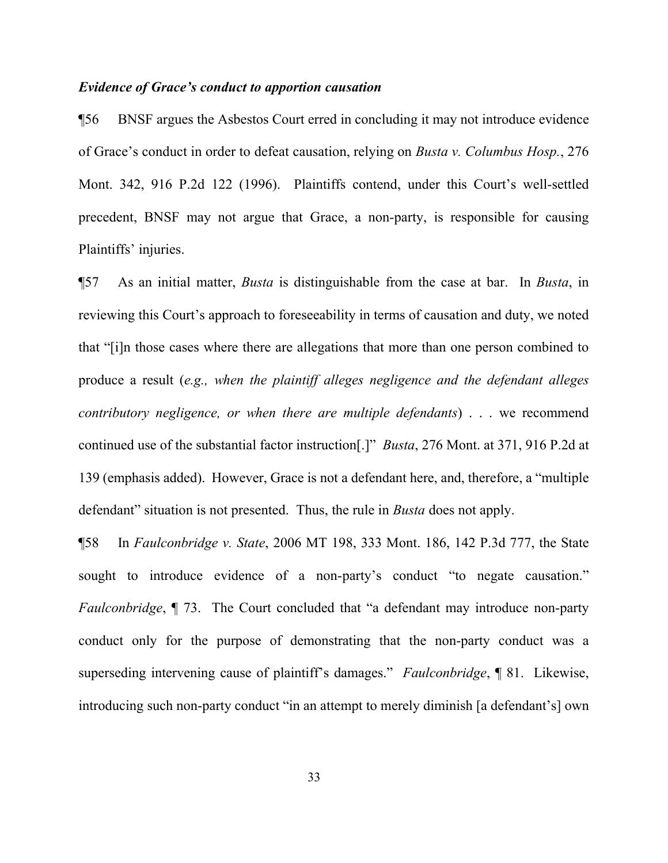### *Evidence of Grace's conduct to apportion causation*

¶56 BNSF argues the Asbestos Court erred in concluding it may not introduce evidence of Grace's conduct in order to defeat causation, relying on *Busta v. Columbus Hosp.*, 276 Mont. 342, 916 P.2d 122 (1996). Plaintiffs contend, under this Court's well-settled precedent, BNSF may not argue that Grace, a non-party, is responsible for causing Plaintiffs' injuries.

¶57 As an initial matter, *Busta* is distinguishable from the case at bar. In *Busta*, in reviewing this Court's approach to foreseeability in terms of causation and duty, we noted that "[i]n those cases where there are allegations that more than one person combined to produce a result (*e.g., when the plaintiff alleges negligence and the defendant alleges contributory negligence, or when there are multiple defendants*) . . . we recommend continued use of the substantial factor instruction[.]" *Busta*, 276 Mont. at 371, 916 P.2d at 139 (emphasis added). However, Grace is not a defendant here, and, therefore, a "multiple defendant" situation is not presented. Thus, the rule in *Busta* does not apply.

¶58 In *Faulconbridge v. State*, 2006 MT 198, 333 Mont. 186, 142 P.3d 777, the State sought to introduce evidence of a non-party's conduct "to negate causation." *Faulconbridge*, ¶ 73. The Court concluded that "a defendant may introduce non-party conduct only for the purpose of demonstrating that the non-party conduct was a superseding intervening cause of plaintiff's damages." *Faulconbridge*, ¶ 81. Likewise, introducing such non-party conduct "in an attempt to merely diminish [a defendant's] own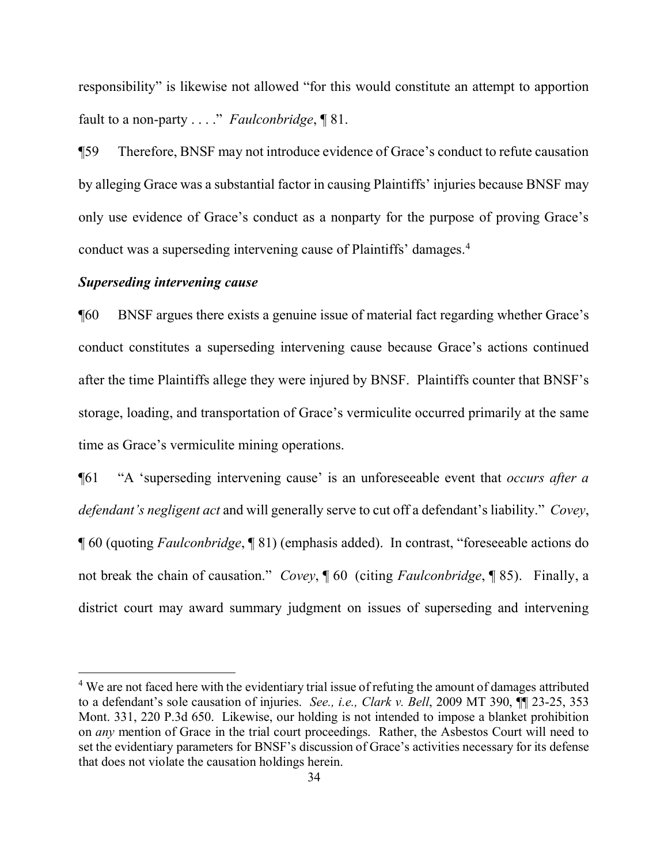responsibility" is likewise not allowed "for this would constitute an attempt to apportion fault to a non-party . . . ." *Faulconbridge*, ¶ 81.

¶59 Therefore, BNSF may not introduce evidence of Grace's conduct to refute causation by alleging Grace was a substantial factor in causing Plaintiffs' injuries because BNSF may only use evidence of Grace's conduct as a nonparty for the purpose of proving Grace's conduct was a superseding intervening cause of Plaintiffs' damages.<sup>[4](#page-33-0)</sup>

# *Superseding intervening cause*

 $\overline{a}$ 

¶60 BNSF argues there exists a genuine issue of material fact regarding whether Grace's conduct constitutes a superseding intervening cause because Grace's actions continued after the time Plaintiffs allege they were injured by BNSF. Plaintiffs counter that BNSF's storage, loading, and transportation of Grace's vermiculite occurred primarily at the same time as Grace's vermiculite mining operations.

¶61 "A 'superseding intervening cause' is an unforeseeable event that *occurs after a defendant's negligent act* and will generally serve to cut off a defendant's liability." *Covey*, ¶ 60 (quoting *Faulconbridge*, ¶ 81) (emphasis added). In contrast, "foreseeable actions do not break the chain of causation." *Covey*, ¶ 60 (citing *Faulconbridge*, ¶ 85). Finally, a district court may award summary judgment on issues of superseding and intervening

<span id="page-33-0"></span><sup>&</sup>lt;sup>4</sup> We are not faced here with the evidentiary trial issue of refuting the amount of damages attributed to a defendant's sole causation of injuries. *See., i.e., Clark v. Bell*, 2009 MT 390, ¶¶ 23-25, 353 Mont. 331, 220 P.3d 650. Likewise, our holding is not intended to impose a blanket prohibition on *any* mention of Grace in the trial court proceedings. Rather, the Asbestos Court will need to set the evidentiary parameters for BNSF's discussion of Grace's activities necessary for its defense that does not violate the causation holdings herein.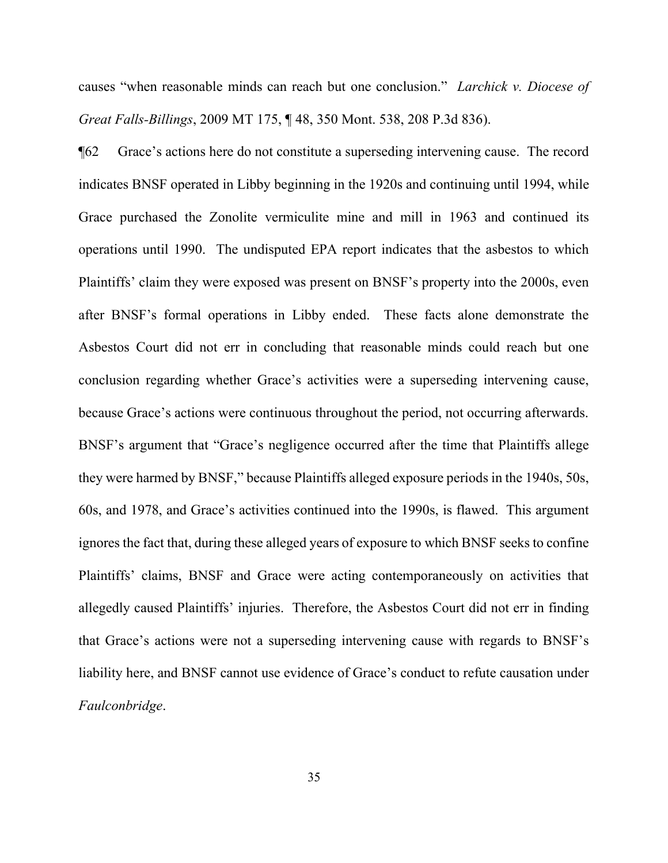causes "when reasonable minds can reach but one conclusion." *Larchick v. Diocese of Great Falls-Billings*, 2009 MT 175, ¶ 48, 350 Mont. 538, 208 P.3d 836).

¶62 Grace's actions here do not constitute a superseding intervening cause. The record indicates BNSF operated in Libby beginning in the 1920s and continuing until 1994, while Grace purchased the Zonolite vermiculite mine and mill in 1963 and continued its operations until 1990. The undisputed EPA report indicates that the asbestos to which Plaintiffs' claim they were exposed was present on BNSF's property into the 2000s, even after BNSF's formal operations in Libby ended. These facts alone demonstrate the Asbestos Court did not err in concluding that reasonable minds could reach but one conclusion regarding whether Grace's activities were a superseding intervening cause, because Grace's actions were continuous throughout the period, not occurring afterwards. BNSF's argument that "Grace's negligence occurred after the time that Plaintiffs allege they were harmed by BNSF," because Plaintiffs alleged exposure periods in the 1940s, 50s, 60s, and 1978, and Grace's activities continued into the 1990s, is flawed. This argument ignores the fact that, during these alleged years of exposure to which BNSF seeks to confine Plaintiffs' claims, BNSF and Grace were acting contemporaneously on activities that allegedly caused Plaintiffs' injuries. Therefore, the Asbestos Court did not err in finding that Grace's actions were not a superseding intervening cause with regards to BNSF's liability here, and BNSF cannot use evidence of Grace's conduct to refute causation under *Faulconbridge*.